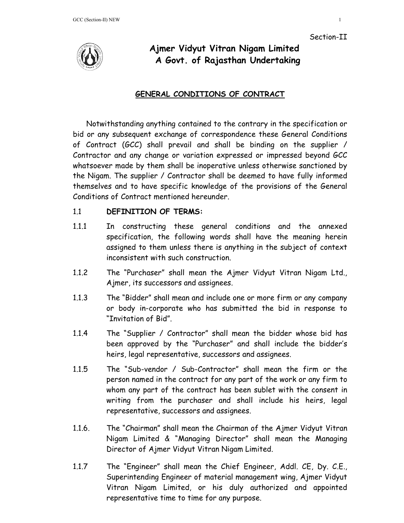



# **Ajmer Vidyut Vitran Nigam Limited A Govt. of Rajasthan Undertaking**

## **GENERAL CONDITIONS OF CONTRACT**

Notwithstanding anything contained to the contrary in the specification or bid or any subsequent exchange of correspondence these General Conditions of Contract (GCC) shall prevail and shall be binding on the supplier / Contractor and any change or variation expressed or impressed beyond GCC whatsoever made by them shall be inoperative unless otherwise sanctioned by the Nigam. The supplier / Contractor shall be deemed to have fully informed themselves and to have specific knowledge of the provisions of the General Conditions of Contract mentioned hereunder.

## 1.1 **DEFINITION OF TERMS:**

- 1.1.1 In constructing these general conditions and the annexed specification, the following words shall have the meaning herein assigned to them unless there is anything in the subject of context inconsistent with such construction.
- 1.1.2 The "Purchaser" shall mean the Ajmer Vidyut Vitran Nigam Ltd., Ajmer, its successors and assignees.
- 1.1.3 The "Bidder" shall mean and include one or more firm or any company or body in-corporate who has submitted the bid in response to "Invitation of Bid".
- 1.1.4 The "Supplier / Contractor" shall mean the bidder whose bid has been approved by the "Purchaser" and shall include the bidder's heirs, legal representative, successors and assignees.
- 1.1.5 The "Sub-vendor / Sub-Contractor" shall mean the firm or the person named in the contract for any part of the work or any firm to whom any part of the contract has been sublet with the consent in writing from the purchaser and shall include his heirs, legal representative, successors and assignees.
- 1.1.6. The "Chairman" shall mean the Chairman of the Ajmer Vidyut Vitran Nigam Limited & "Managing Director" shall mean the Managing Director of Ajmer Vidyut Vitran Nigam Limited.
- 1.1.7 The "Engineer" shall mean the Chief Engineer, Addl. CE, Dy. C.E., Superintending Engineer of material management wing, Ajmer Vidyut Vitran Nigam Limited, or his duly authorized and appointed representative time to time for any purpose.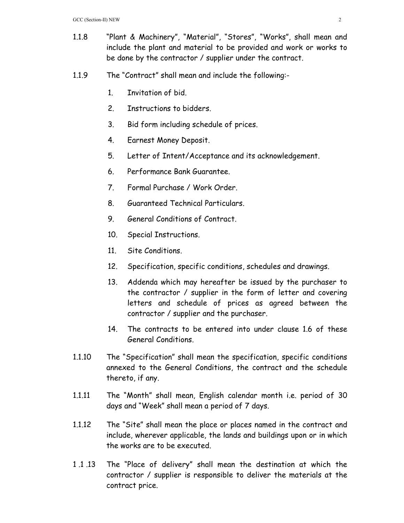- 1.1.8 "Plant & Machinery", "Material", "Stores", "Works", shall mean and include the plant and material to be provided and work or works to be done by the contractor / supplier under the contract.
- 1.1.9 The "Contract" shall mean and include the following:-
	- 1. Invitation of bid.
	- 2. Instructions to bidders.
	- 3. Bid form including schedule of prices.
	- 4. Earnest Money Deposit.
	- 5. Letter of Intent/Acceptance and its acknowledgement.
	- 6. Performance Bank Guarantee.
	- 7. Formal Purchase / Work Order.
	- 8. Guaranteed Technical Particulars.
	- 9. General Conditions of Contract.
	- 10. Special Instructions.
	- 11. Site Conditions.
	- 12. Specification, specific conditions, schedules and drawings.
	- 13. Addenda which may hereafter be issued by the purchaser to the contractor / supplier in the form of letter and covering letters and schedule of prices as agreed between the contractor / supplier and the purchaser.
	- 14. The contracts to be entered into under clause 1.6 of these General Conditions.
- 1.1.10 The "Specification" shall mean the specification, specific conditions annexed to the General Conditions, the contract and the schedule thereto, if any.
- 1.1.11 The "Month" shall mean, English calendar month i.e. period of 30 days and "Week" shall mean a period of 7 days.
- 1.1.12 The "Site" shall mean the place or places named in the contract and include, wherever applicable, the lands and buildings upon or in which the works are to be executed.
- 1 .1 .13 The "Place of delivery" shall mean the destination at which the contractor / supplier is responsible to deliver the materials at the contract price.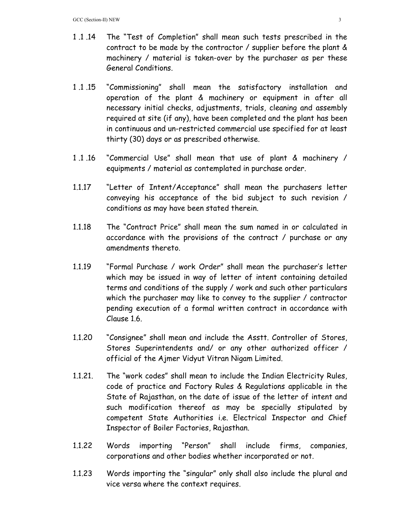- 1 .1 .14 The "Test of Completion" shall mean such tests prescribed in the contract to be made by the contractor / supplier before the plant & machinery / material is taken-over by the purchaser as per these General Conditions.
- 1 .1 .15 "Commissioning" shall mean the satisfactory installation and operation of the plant & machinery or equipment in after all necessary initial checks, adjustments, trials, cleaning and assembly required at site (if any), have been completed and the plant has been in continuous and un-restricted commercial use specified for at least thirty (30) days or as prescribed otherwise.
- 1 .1 .16 "Commercial Use" shall mean that use of plant & machinery / equipments / material as contemplated in purchase order.
- 1.1.17 "Letter of Intent/Acceptance" shall mean the purchasers letter conveying his acceptance of the bid subject to such revision / conditions as may have been stated therein.
- 1.1.18 The "Contract Price" shall mean the sum named in or calculated in accordance with the provisions of the contract / purchase or any amendments thereto.
- 1.1.19 "Formal Purchase / work Order" shall mean the purchaser's letter which may be issued in way of letter of intent containing detailed terms and conditions of the supply / work and such other particulars which the purchaser may like to convey to the supplier / contractor pending execution of a formal written contract in accordance with Clause 1.6.
- 1.1.20 "Consignee" shall mean and include the Asstt. Controller of Stores, Stores Superintendents and/ or any other authorized officer / official of the Ajmer Vidyut Vitran Nigam Limited.
- 1.1.21. The "work codes" shall mean to include the Indian Electricity Rules, code of practice and Factory Rules & Regulations applicable in the State of Rajasthan, on the date of issue of the letter of intent and such modification thereof as may be specially stipulated by competent State Authorities i.e. Electrical Inspector and Chief Inspector of Boiler Factories, Rajasthan.
- 1.1.22 Words importing "Person" shall include firms, companies, corporations and other bodies whether incorporated or not.
- 1.1.23 Words importing the "singular" only shall also include the plural and vice versa where the context requires.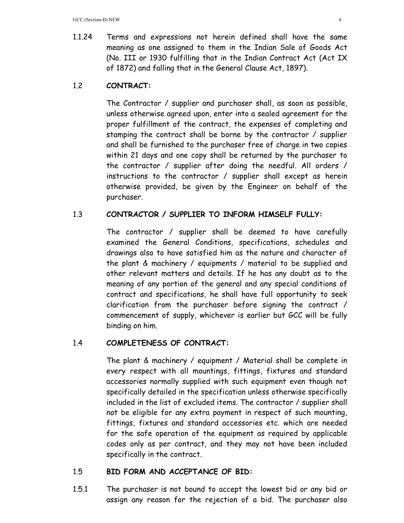1.1.24 Terms and expressions not herein defined shall have the same meaning as one assigned to them in the Indian Sale of Goods Act (No. III or 1930 fulfilling that in the Indian Contract Act (Act IX of 1872) and falling that in the General Clause Act, 1897).

# 1.2 **CONTRACT:**

The Contractor / supplier and purchaser shall, as soon as possible, unless otherwise agreed upon, enter into a sealed agreement for the proper fulfillment of the contract, the expenses of completing and stamping the contract shall be borne by the contractor / supplier and shall be furnished to the purchaser free of charge in two copies within 21 days and one copy shall be returned by the purchaser to the contractor / supplier after doing the needful. All orders / instructions to the contractor / supplier shall except as herein otherwise provided, be given by the Engineer on behalf of the purchaser.

## 1.3 **CONTRACTOR / SUPPLIER TO INFORM HIMSELF FULLY:**

The contractor / supplier shall be deemed to have carefully examined the General Conditions, specifications, schedules and drawings also to have satisfied him as the nature and character of the plant & machinery / equipments / material to be supplied and other relevant matters and details. If he has any doubt as to the meaning of any portion of the general and any special conditions of contract and specifications, he shall have full opportunity to seek clarification from the purchaser before signing the contract / commencement of supply, whichever is earlier but GCC will be fully binding on him.

## 1.4 **COMPLETENESS OF CONTRACT:**

The plant & machinery / equipment / Material shall be complete in every respect with all mountings, fittings, fixtures and standard accessories normally supplied with such equipment even though not specifically detailed in the specification unless otherwise specifically included in the list of excluded items. The contractor / supplier shall not be eligible for any extra payment in respect of such mounting, fittings, fixtures and standard accessories etc. which are needed for the safe operation of the equipment as required by applicable codes only as per contract, and they may not have been included specifically in the contract.

## 1.5 **BID FORM AND ACCEPTANCE OF BID:**

1.5.1 The purchaser is not bound to accept the lowest bid or any bid or assign any reason for the rejection of a bid. The purchaser also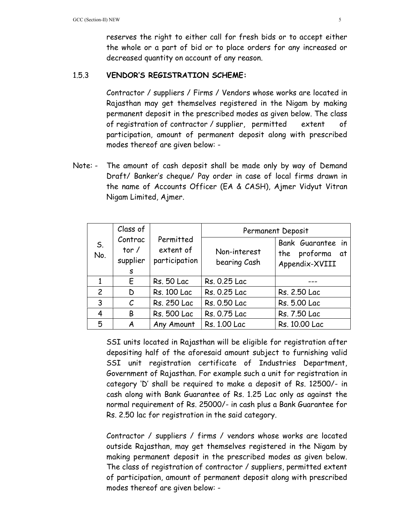reserves the right to either call for fresh bids or to accept either the whole or a part of bid or to place orders for any increased or decreased quantity on account of any reason.

## 1.5.3 **VENDOR'S REGISTRATION SCHEME:**

Contractor / suppliers / Firms / Vendors whose works are located in Rajasthan may get themselves registered in the Nigam by making permanent deposit in the prescribed modes as given below. The class of registration of contractor / supplier, permitted extent of participation, amount of permanent deposit along with prescribed modes thereof are given below: -

Note: - The amount of cash deposit shall be made only by way of Demand Draft/ Banker's cheque/ Pay order in case of local firms drawn in the name of Accounts Officer (EA & CASH), Ajmer Vidyut Vitran Nigam Limited, Ajmer.

| S.<br>No.      | Class of                            | Permitted<br>extent of<br>participation | Permanent Deposit            |                                                           |  |
|----------------|-------------------------------------|-----------------------------------------|------------------------------|-----------------------------------------------------------|--|
|                | Contrac<br>tor $/$<br>supplier<br>S |                                         | Non-interest<br>bearing Cash | Bank Guarantee in<br>the proforma<br>at<br>Appendix-XVIII |  |
|                | E                                   | <b>Rs. 50 Lac</b>                       | Rs. 0.25 Lac                 |                                                           |  |
| $\overline{c}$ | D                                   | Rs. 100 Lac                             | Rs. 0.25 Lac                 | Rs. 2.50 Lac                                              |  |
| 3              | $\mathcal{C}_{0}$                   | Rs. 250 Lac                             | Rs. 0.50 Lac                 | Rs. 5.00 Lac                                              |  |
| 4              | B                                   | <b>Rs. 500 Lac</b>                      | Rs. 0.75 Lac                 | Rs. 7.50 Lac                                              |  |
| 5              | A                                   | Any Amount                              | Rs. 1.00 Lac                 | Rs. 10.00 Lac                                             |  |

 SSI units located in Rajasthan will be eligible for registration after depositing half of the aforesaid amount subject to furnishing valid SSI unit registration certificate of Industries Department, Government of Rajasthan. For example such a unit for registration in category 'D' shall be required to make a deposit of Rs. 12500/- in cash along with Bank Guarantee of Rs. 1.25 Lac only as against the normal requirement of Rs. 25000/- in cash plus a Bank Guarantee for Rs. 2.50 lac for registration in the said category.

 Contractor / suppliers / firms / vendors whose works are located outside Rajasthan, may get themselves registered in the Nigam by making permanent deposit in the prescribed modes as given below. The class of registration of contractor / suppliers, permitted extent of participation, amount of permanent deposit along with prescribed modes thereof are given below: -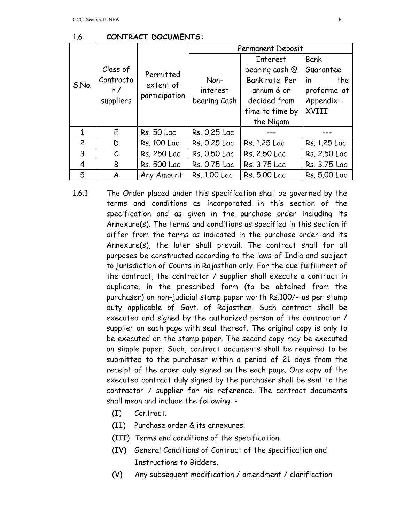|                | Class of<br>Contracto<br>r/<br>suppliers | Permitted<br>extent of<br>participation | Permanent Deposit                |                 |                  |  |
|----------------|------------------------------------------|-----------------------------------------|----------------------------------|-----------------|------------------|--|
| S.No.          |                                          |                                         |                                  | <b>Interest</b> | <b>Bank</b>      |  |
|                |                                          |                                         | Non-<br>interest<br>bearing Cash | bearing cash @  | Guarantee        |  |
|                |                                          |                                         |                                  | Bank rate Per   | the<br><i>in</i> |  |
|                |                                          |                                         |                                  | annum & or      | proforma at      |  |
|                |                                          |                                         |                                  | decided from    | Appendix-        |  |
|                |                                          |                                         |                                  | time to time by | XVIII            |  |
|                |                                          |                                         |                                  | the Nigam       |                  |  |
|                | E                                        | <b>Rs. 50 Lac</b>                       | Rs. 0.25 Lac                     |                 |                  |  |
| $\overline{c}$ | D                                        | <b>Rs. 100 Lac</b>                      | Rs. 0.25 Lac                     | Rs. 1.25 Lac    | Rs. 1.25 Lac     |  |
| 3              | $\mathcal C$                             | Rs. 250 Lac                             | Rs. 0.50 Lac                     | Rs. 2.50 Lac    | Rs. 2.50 Lac     |  |
| 4              | B                                        | <b>Rs. 500 Lac</b>                      | Rs. 0.75 Lac                     | Rs. 3.75 Lac    | Rs. 3.75 Lac     |  |
| 5              | A                                        | Any Amount                              | Rs. 1.00 Lac                     | Rs. 5.00 Lac    | Rs. 5.00 Lac     |  |

1.6.1 The Order placed under this specification shall be governed by the terms and conditions as incorporated in this section of the specification and as given in the purchase order including its Annexure(s). The terms and conditions as specified in this section if differ from the terms as indicated in the purchase order and its Annexure(s), the later shall prevail. The contract shall for all purposes be constructed according to the laws of India and subject to jurisdiction of Courts in Rajasthan only. For the due fulfillment of the contract, the contractor / supplier shall execute a contract in duplicate, in the prescribed form (to be obtained from the purchaser) on non-judicial stamp paper worth Rs.100/- as per stamp duty applicable of Govt. of Rajasthan. Such contract shall be executed and signed by the authorized person of the contractor / supplier on each page with seal thereof. The original copy is only to

# be executed on the stamp paper. The second copy may be executed on simple paper. Such, contract documents shall be required to be submitted to the purchaser within a period of 21 days from the receipt of the order duly signed on the each page. One copy of the executed contract duly signed by the purchaser shall be sent to the contractor / supplier for his reference. The contract documents shall mean and include the following: -

- (I) Contract.
- (II) Purchase order & its annexures.
- (III) Terms and conditions of the specification.
- (IV) General Conditions of Contract of the specification and Instructions to Bidders.
- (V) Any subsequent modification / amendment / clarification

1.6 **CONTRACT DOCUMENTS:**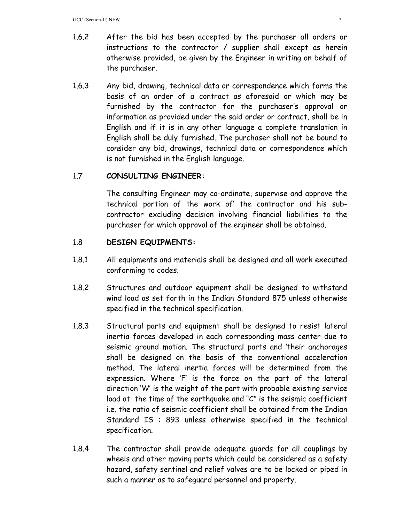- 1.6.2 After the bid has been accepted by the purchaser all orders or instructions to the contractor / supplier shall except as herein otherwise provided, be given by the Engineer in writing on behalf of the purchaser.
- 1.6.3 Any bid, drawing, technical data or correspondence which forms the basis of an order of a contract as aforesaid or which may be furnished by the contractor for the purchaser's approval or information as provided under the said order or contract, shall be in English and if it is in any other language a complete translation in English shall be duly furnished. The purchaser shall not be bound to consider any bid, drawings, technical data or correspondence which is not furnished in the English language.

## 1.7 **CONSULTING ENGINEER:**

The consulting Engineer may co-ordinate, supervise and approve the technical portion of the work of' the contractor and his subcontractor excluding decision involving financial liabilities to the purchaser for which approval of the engineer shall be obtained.

## 1.8 **DESIGN EQUIPMENTS:**

- 1.8.1 All equipments and materials shall be designed and all work executed conforming to codes.
- 1.8.2 Structures and outdoor equipment shall be designed to withstand wind load as set forth in the Indian Standard 875 unless otherwise specified in the technical specification.
- 1.8.3 Structural parts and equipment shall be designed to resist lateral inertia forces developed in each corresponding mass center due to seismic ground motion. The structural parts and 'their anchorages shall be designed on the basis of the conventional acceleration method. The lateral inertia forces will be determined from the expression. Where 'F' is the force on the part of the lateral direction 'W' is the weight of the part with probable existing service load at the time of the earthquake and "C" is the seismic coefficient i.e. the ratio of seismic coefficient shall be obtained from the Indian Standard IS : 893 unless otherwise specified in the technical specification.
- 1.8.4 The contractor shall provide adequate guards for all couplings by wheels and other moving parts which could be considered as a safety hazard, safety sentinel and relief valves are to be locked or piped in such a manner as to safeguard personnel and property.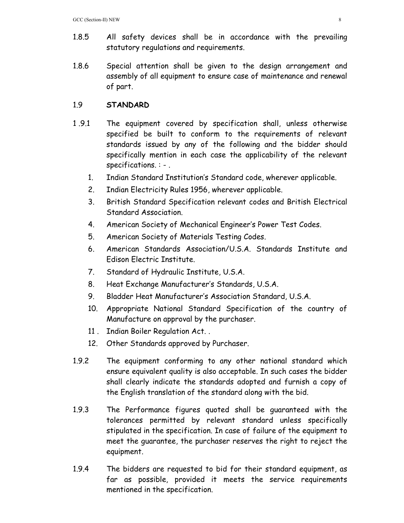- 1.8.5 All safety devices shall be in accordance with the prevailing statutory regulations and requirements.
- 1.8.6 Special attention shall be given to the design arrangement and assembly of all equipment to ensure case of maintenance and renewal of part.

## 1.9 **STANDARD**

- 1 .9.1 The equipment covered by specification shall, unless otherwise specified be built to conform to the requirements of relevant standards issued by any of the following and the bidder should specifically mention in each case the applicability of the relevant specifications. : - .
	- 1. Indian Standard Institution's Standard code, wherever applicable.
	- 2. Indian Electricity Rules 1956, wherever applicable.
	- 3. British Standard Specification relevant codes and British Electrical Standard Association.
	- 4. American Society of Mechanical Engineer's Power Test Codes.
	- 5. American Society of Materials Testing Codes.
	- 6. American Standards Association/U.S.A. Standards Institute and Edison Electric Institute.
	- 7. Standard of Hydraulic Institute, U.S.A.
	- 8. Heat Exchange Manufacturer's Standards, U.S.A.
	- 9. Bladder Heat Manufacturer's Association Standard, U.S.A.
	- 10. Appropriate National Standard Specification of the country of Manufacture on approval by the purchaser.
	- 11 . Indian Boiler Regulation Act. .
	- 12. Other Standards approved by Purchaser.
- 1.9.2 The equipment conforming to any other national standard which ensure equivalent quality is also acceptable. In such cases the bidder shall clearly indicate the standards adopted and furnish a copy of the English translation of the standard along with the bid.
- 1.9.3 The Performance figures quoted shall be guaranteed with the tolerances permitted by relevant standard unless specifically stipulated in the specification. In case of failure of the equipment to meet the guarantee, the purchaser reserves the right to reject the equipment.
- 1.9.4 The bidders are requested to bid for their standard equipment, as far as possible, provided it meets the service requirements mentioned in the specification.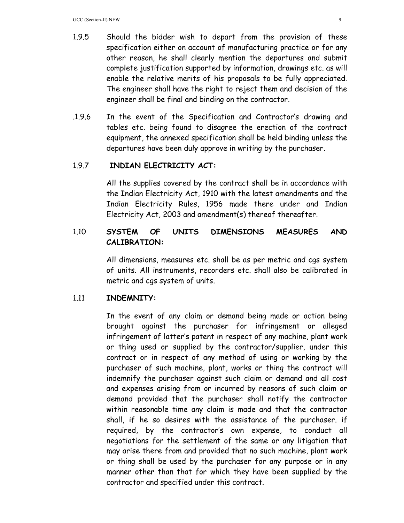- 1.9.5 Should the bidder wish to depart from the provision of these specification either on account of manufacturing practice or for any other reason, he shall clearly mention the departures and submit complete justification supported by information, drawings etc. as will enable the relative merits of his proposals to be fully appreciated. The engineer shall have the right to reject them and decision of the engineer shall be final and binding on the contractor.
- .1.9.6 In the event of the Specification and Contractor's drawing and tables etc. being found to disagree the erection of the contract equipment, the annexed specification shall be held binding unless the departures have been duly approve in writing by the purchaser.

## 1.9.7 **INDIAN ELECTRICITY ACT:**

All the supplies covered by the contract shall be in accordance with the Indian Electricity Act, 1910 with the latest amendments and the Indian Electricity Rules, 1956 made there under and Indian Electricity Act, 2003 and amendment(s) thereof thereafter.

# 1.10 **SYSTEM OF UNITS DIMENSIONS MEASURES AND CALIBRATION:**

All dimensions, measures etc. shall be as per metric and cgs system of units. All instruments, recorders etc. shall also be calibrated in metric and cgs system of units.

### 1.11 **INDEMNITY:**

 In the event of any claim or demand being made or action being brought against the purchaser for infringement or alleged infringement of latter's patent in respect of any machine, plant work or thing used or supplied by the contractor/supplier, under this contract or in respect of any method of using or working by the purchaser of such machine, plant, works or thing the contract will indemnify the purchaser against such claim or demand and all cost and expenses arising from or incurred by reasons of such claim or demand provided that the purchaser shall notify the contractor within reasonable time any claim is made and that the contractor shall, if he so desires with the assistance of the purchaser. if required, by the contractor's own expense, to conduct all negotiations for the settlement of the same or any litigation that may arise there from and provided that no such machine, plant work or thing shall be used by the purchaser for any purpose or in any manner other than that for which they have been supplied by the contractor and specified under this contract.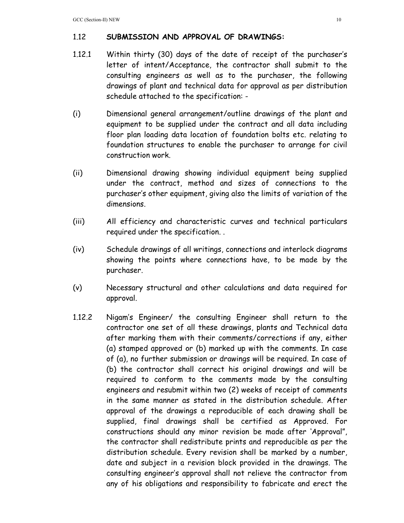## 1.12 **SUBMISSION AND APPROVAL OF DRAWINGS:**

- 1.12.1 Within thirty (30) days of the date of receipt of the purchaser's letter of intent/Acceptance, the contractor shall submit to the consulting engineers as well as to the purchaser, the following drawings of plant and technical data for approval as per distribution schedule attached to the specification: -
- (i) Dimensional general arrangement/outline drawings of the plant and equipment to be supplied under the contract and all data including floor plan loading data location of foundation bolts etc. relating to foundation structures to enable the purchaser to arrange for civil construction work.
- (ii) Dimensional drawing showing individual equipment being supplied under the contract, method and sizes of connections to the purchaser's other equipment, giving also the limits of variation of the dimensions.
- (iii) All efficiency and characteristic curves and technical particulars required under the specification. .
- (iv) Schedule drawings of all writings, connections and interlock diagrams showing the points where connections have, to be made by the purchaser.
- (v) Necessary structural and other calculations and data required for approval.
- 1.12.2 Nigam's Engineer/ the consulting Engineer shall return to the contractor one set of all these drawings, plants and Technical data after marking them with their comments/corrections if any, either (a) stamped approved or (b) marked up with the comments. In case of (a), no further submission or drawings will be required. In case of (b) the contractor shall correct his original drawings and will be required to conform to the comments made by the consulting engineers and resubmit within two (2) weeks of receipt of comments in the same manner as stated in the distribution schedule. After approval of the drawings a reproducible of each drawing shall be supplied, final drawings shall be certified as Approved. For constructions should any minor revision be made after 'Approval", the contractor shall redistribute prints and reproducible as per the distribution schedule. Every revision shall be marked by a number, date and subject in a revision block provided in the drawings. The consulting engineer's approval shall not relieve the contractor from any of his obligations and responsibility to fabricate and erect the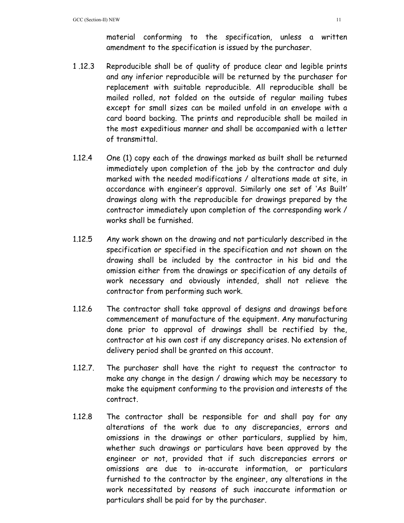material conforming to the specification, unless a written amendment to the specification is issued by the purchaser.

- 1 .12.3 Reproducible shall be of quality of produce clear and legible prints and any inferior reproducible will be returned by the purchaser for replacement with suitable reproducible. All reproducible shall be mailed rolled, not folded on the outside of regular mailing tubes except for small sizes can be mailed unfold in an envelope with a card board backing. The prints and reproducible shall be mailed in the most expeditious manner and shall be accompanied with a letter of transmittal.
- 1.12.4 One (1) copy each of the drawings marked as built shall be returned immediately upon completion of the job by the contractor and duly marked with the needed modifications / alterations made at site, in accordance with engineer's approval. Similarly one set of 'As Built' drawings along with the reproducible for drawings prepared by the contractor immediately upon completion of the corresponding work / works shall be furnished.
- 1.12.5 Any work shown on the drawing and not particularly described in the specification or specified in the specification and not shown on the drawing shall be included by the contractor in his bid and the omission either from the drawings or specification of any details of work necessary and obviously intended, shall not relieve the contractor from performing such work.
- 1.12.6 The contractor shall take approval of designs and drawings before commencement of manufacture of the equipment. Any manufacturing done prior to approval of drawings shall be rectified by the, contractor at his own cost if any discrepancy arises. No extension of delivery period shall be granted on this account.
- 1.12.7. The purchaser shall have the right to request the contractor to make any change in the design / drawing which may be necessary to make the equipment conforming to the provision and interests of the contract.
- 1.12.8 The contractor shall be responsible for and shall pay for any alterations of the work due to any discrepancies, errors and omissions in the drawings or other particulars, supplied by him, whether such drawings or particulars have been approved by the engineer or not, provided that if such discrepancies errors or omissions are due to in-accurate information, or particulars furnished to the contractor by the engineer, any alterations in the work necessitated by reasons of such inaccurate information or particulars shall be paid for by the purchaser.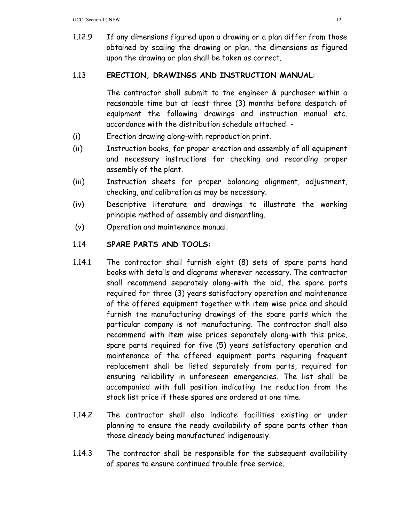1.12.9 If any dimensions figured upon a drawing or a plan differ from those obtained by scaling the drawing or plan, the dimensions as figured upon the drawing or plan shall be taken as correct.

## 1.13 **ERECTION, DRAWINGS AND INSTRUCTION MANUAL**:

 The contractor shall submit to the engineer & purchaser within a reasonable time but at least three (3) months before despatch of equipment the following drawings and instruction manual etc. accordance with the distribution schedule attached: -

- (i) Erection drawing along-with reproduction print.
- (ii) Instruction books, for proper erection and assembly of all equipment and necessary instructions for checking and recording proper assembly of the plant.
- (iii) Instruction sheets for proper balancing alignment, adjustment, checking, and calibration as may be necessary.
- (iv) Descriptive literature and drawings to illustrate the working principle method of assembly and dismantling.
- (v) Operation and maintenance manual.

# 1.14 **SPARE PARTS AND TOOLS:**

- 1.14.1 The contractor shall furnish eight (8) sets of spare parts hand books with details and diagrams wherever necessary. The contractor shall recommend separately along-with the bid, the spare parts required for three (3) years satisfactory operation and maintenance of the offered equipment together with item wise price and should furnish the manufacturing drawings of the spare parts which the particular company is not manufacturing. The contractor shall also recommend with item wise prices separately along-with this price, spare parts required for five (5) years satisfactory operation and maintenance of the offered equipment parts requiring frequent replacement shall be listed separately from parts, required for ensuring reliability in unforeseen emergencies. The list shall be accompanied with full position indicating the reduction from the stock list price if these spares are ordered at one time.
- 1.14.2 The contractor shall also indicate facilities existing or under planning to ensure the ready availability of spare parts other than those already being manufactured indigenously.
- 1.14.3 The contractor shall be responsible for the subsequent availability of spares to ensure continued trouble free service.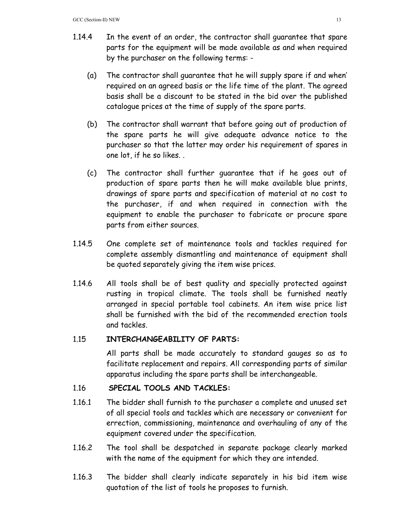- 1.14.4 In the event of an order, the contractor shall guarantee that spare parts for the equipment will be made available as and when required by the purchaser on the following terms: -
	- (a) The contractor shall guarantee that he will supply spare if and when' required on an agreed basis or the life time of the plant. The agreed basis shall be a discount to be stated in the bid over the published catalogue prices at the time of supply of the spare parts.
	- (b) The contractor shall warrant that before going out of production of the spare parts he will give adequate advance notice to the purchaser so that the latter may order his requirement of spares in one lot, if he so likes. .
	- (c) The contractor shall further guarantee that if he goes out of production of spare parts then he will make available blue prints, drawings of spare parts and specification of material at no cost to the purchaser, if and when required in connection with the equipment to enable the purchaser to fabricate or procure spare parts from either sources.
- 1.14.5 One complete set of maintenance tools and tackles required for complete assembly dismantling and maintenance of equipment shall be quoted separately giving the item wise prices.
- 1.14.6 All tools shall be of best quality and specially protected against rusting in tropical climate. The tools shall be furnished neatly arranged in special portable tool cabinets. An item wise price list shall be furnished with the bid of the recommended erection tools and tackles.

## 1.15 **INTERCHANGEABILITY OF PARTS:**

All parts shall be made accurately to standard gauges so as to facilitate replacement and repairs. All corresponding parts of similar apparatus including the spare parts shall be interchangeable.

# 1.16 **SPECIAL TOOLS AND TACKLES:**

- 1.16.1 The bidder shall furnish to the purchaser a complete and unused set of all special tools and tackles which are necessary or convenient for errection, commissioning, maintenance and overhauling of any of the equipment covered under the specification.
- 1.16.2 The tool shall be despatched in separate package clearly marked with the name of the equipment for which they are intended.
- 1.16.3 The bidder shall clearly indicate separately in his bid item wise quotation of the list of tools he proposes to furnish.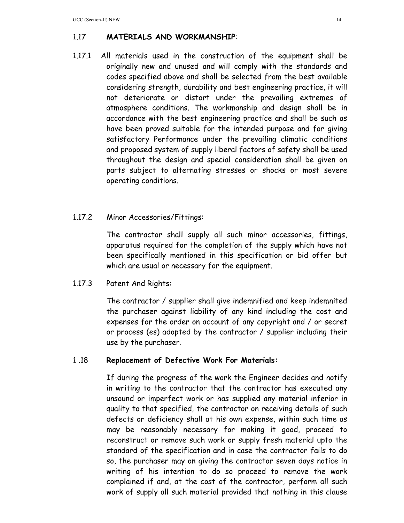# 1.17 **MATERIALS AND WORKMANSHIP**:

1.17.1 All materials used in the construction of the equipment shall be originally new and unused and will comply with the standards and codes specified above and shall be selected from the best available considering strength, durability and best engineering practice, it will not deteriorate or distort under the prevailing extremes of atmosphere conditions. The workmanship and design shall be in accordance with the best engineering practice and shall be such as have been proved suitable for the intended purpose and for giving satisfactory Performance under the prevailing climatic conditions and proposed system of supply liberal factors of safety shall be used throughout the design and special consideration shall be given on parts subject to alternating stresses or shocks or most severe operating conditions.

## 1.17.2 Minor Accessories/Fittings:

 The contractor shall supply all such minor accessories, fittings, apparatus required for the completion of the supply which have not been specifically mentioned in this specification or bid offer but which are usual or necessary for the equipment.

## 1.17.3 Patent And Rights:

 The contractor / supplier shall give indemnified and keep indemnited the purchaser against liability of any kind including the cost and expenses for the order on account of any copyright and / or secret or process (es) adopted by the contractor / supplier including their use by the purchaser.

## 1 .18 **Replacement of Defective Work For Materials:**

 If during the progress of the work the Engineer decides and notify in writing to the contractor that the contractor has executed any unsound or imperfect work or has supplied any material inferior in quality to that specified, the contractor on receiving details of such defects or deficiency shall at his own expense, within such time as may be reasonably necessary for making it good, proceed to reconstruct or remove such work or supply fresh material upto the standard of the specification and in case the contractor fails to do so, the purchaser may on giving the contractor seven days notice in writing of his intention to do so proceed to remove the work complained if and, at the cost of the contractor, perform all such work of supply all such material provided that nothing in this clause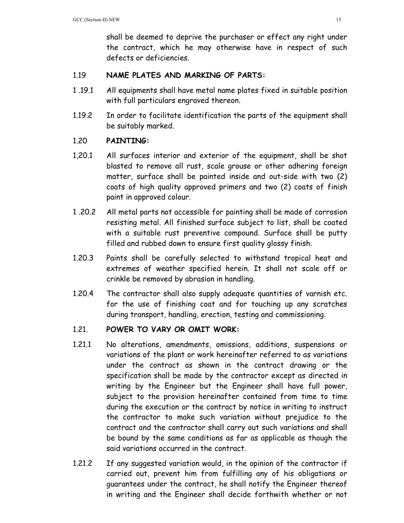shall be deemed to deprive the purchaser or effect any right under the contract, which he may otherwise have in respect of such defects or deficiencies.

## 1.19 **NAME PLATES AND MARKING OF PARTS:**

- 1 .19.1 All equipments shall have metal name plates fixed in suitable position with full particulars engraved thereon.
- 1.19.2 In order to facilitate identification the parts of the equipment shall be suitably marked.

# 1.20 **PAINTING:**

- 1,20.1 All surfaces interior and exterior of the equipment, shall be shot blasted to remove all rust, scale grouse or other adhering foreign matter, surface shall be painted inside and out-side with two (2) coats of high quality approved primers and two (2) coats of finish paint in approved colour.
- 1 .20.2 All metal parts not accessible for painting shall be made of corrosion resisting metal. All finished surface subject to list, shall be coated with a suitable rust preventive compound. Surface shall be putty filled and rubbed down to ensure first quality glossy finish.
- 1.20.3 Paints shall be carefully selected to withstand tropical heat and extremes of weather specified herein. It shall not scale off or crinkle be removed by abrasion in handling.
- 1.20.4 The contractor shall also supply adequate quantities of varnish etc. for the use of finishing coat and for touching up any scratches during transport, handling, erection, testing and commissioning.

## 1.21. **POWER TO VARY OR OMIT WORK:**

- 1.21.1 No alterations, amendments, omissions, additions, suspensions or variations of the plant or work hereinafter referred to as variations under the contract as shown in the contract drawing or the specification shall be made by the contractor except as directed in writing by the Engineer but the Engineer shall have full power, subject to the provision hereinafter contained from time to time during the execution or the contract by notice in writing to instruct the contractor to make such variation without prejudice to the contract and the contractor shall carry out such variations and shall be bound by the same conditions as far as applicable as though the said variations occurred in the contract.
- 1.21.2 If any suggested variation would, in the opinion of the contractor if carried out, prevent him from fulfilling any of his obligations or guarantees under the contract, he shall notify the Engineer thereof in writing and the Engineer shall decide forthwith whether or not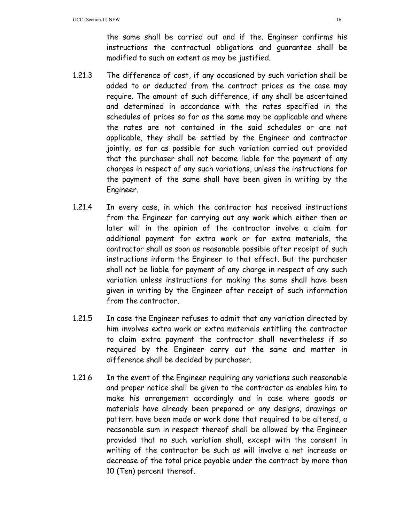the same shall be carried out and if the. Engineer confirms his instructions the contractual obligations and guarantee shall be modified to such an extent as may be justified.

- 1.21.3 The difference of cost, if any occasioned by such variation shall be added to or deducted from the contract prices as the case may require. The amount of such difference, if any shall be ascertained and determined in accordance with the rates specified in the schedules of prices so far as the same may be applicable and where the rates are not contained in the said schedules or are not applicable, they shall be settled by the Engineer and contractor jointly, as far as possible for such variation carried out provided that the purchaser shall not become liable for the payment of any charges in respect of any such variations, unless the instructions for the payment of the same shall have been given in writing by the Engineer.
- 1.21.4 In every case, in which the contractor has received instructions from the Engineer for carrying out any work which either then or later will in the opinion of the contractor involve a claim for additional payment for extra work or for extra materials, the contractor shall as soon as reasonable possible after receipt of such instructions inform the Engineer to that effect. But the purchaser shall not be liable for payment of any charge in respect of any such variation unless instructions for making the same shall have been given in writing by the Engineer after receipt of such information from the contractor.
- 1.21.5 In case the Engineer refuses to admit that any variation directed by him involves extra work or extra materials entitling the contractor to claim extra payment the contractor shall nevertheless if so required by the Engineer carry out the same and matter in difference shall be decided by purchaser.
- 1.21.6 In the event of the Engineer requiring any variations such reasonable and proper notice shall be given to the contractor as enables him to make his arrangement accordingly and in case where goods or materials have already been prepared or any designs, drawings or pattern have been made or work done that required to be altered, a reasonable sum in respect thereof shall be allowed by the Engineer provided that no such variation shall, except with the consent in writing of the contractor be such as will involve a net increase or decrease of the total price payable under the contract by more than 10 (Ten) percent thereof.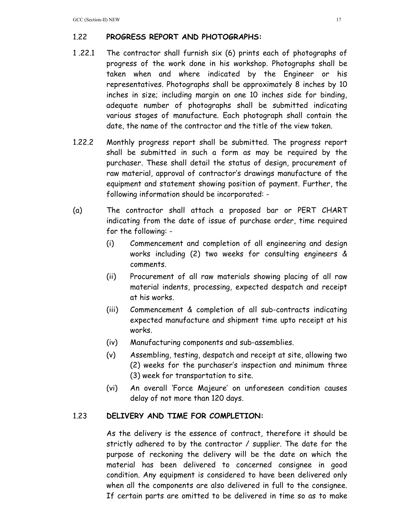# 1.22 **PROGRESS REPORT AND PHOTOGRAPHS:**

- 1 .22.1 The contractor shall furnish six (6) prints each of photographs of progress of the work done in his workshop. Photographs shall be taken when and where indicated by the Engineer or his representatives. Photographs shall be approximately 8 inches by 10 inches in size; including margin on one 10 inches side for binding, adequate number of photographs shall be submitted indicating various stages of manufacture. Each photograph shall contain the date, the name of the contractor and the title of the view taken.
- 1.22.2 Monthly progress report shall be submitted. The progress report shall be submitted in such a form as may be required by the purchaser. These shall detail the status of design, procurement of raw material, approval of contractor's drawings manufacture of the equipment and statement showing position of payment. Further, the following information should be incorporated: -
- (a) The contractor shall attach a proposed bar or PERT CHART indicating from the date of issue of purchase order, time required for the following: -
	- (i) Commencement and completion of all engineering and design works including (2) two weeks for consulting engineers & comments.
	- (ii) Procurement of all raw materials showing placing of all raw material indents, processing, expected despatch and receipt at his works.
	- (iii) Commencement & completion of all sub-contracts indicating expected manufacture and shipment time upto receipt at his works.
	- (iv) Manufacturing components and sub-assemblies.
	- (v) Assembling, testing, despatch and receipt at site, allowing two (2) weeks for the purchaser's inspection and minimum three (3) week for transportation to site.
	- (vi) An overall 'Force Majeure' on unforeseen condition causes delay of not more than 120 days.

## 1.23 **DELIVERY AND TIME FOR COMPLETION:**

 As the delivery is the essence of contract, therefore it should be strictly adhered to by the contractor / supplier. The date for the purpose of reckoning the delivery will be the date on which the material has been delivered to concerned consignee in good condition. Any equipment is considered to have been delivered only when all the components are also delivered in full to the consignee. If certain parts are omitted to be delivered in time so as to make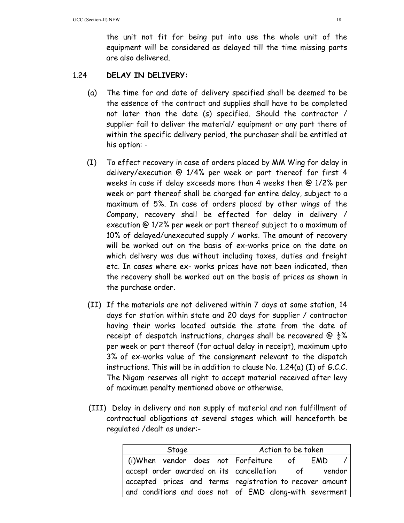the unit not fit for being put into use the whole unit of the equipment will be considered as delayed till the time missing parts are also delivered.

## 1.24 **DELAY IN DELIVERY:**

- (a) The time for and date of delivery specified shall be deemed to be the essence of the contract and supplies shall have to be completed not later than the date (s) specified. Should the contractor / supplier fail to deliver the material/ equipment or any part there of within the specific delivery period, the purchaser shall be entitled at his option: -
- (I) To effect recovery in case of orders placed by MM Wing for delay in delivery/execution @ 1/4% per week or part thereof for first 4 weeks in case if delay exceeds more than 4 weeks then @ 1/2% per week or part thereof shall be charged for entire delay, subject to a maximum of 5%. In case of orders placed by other wings of the Company, recovery shall be effected for delay in delivery / execution @ 1/2% per week or part thereof subject to a maximum of 10% of delayed/unexecuted supply / works. The amount of recovery will be worked out on the basis of ex-works price on the date on which delivery was due without including taxes, duties and freight etc. In cases where ex- works prices have not been indicated, then the recovery shall be worked out on the basis of prices as shown in the purchase order.
- (II) If the materials are not delivered within 7 days at same station, 14 days for station within state and 20 days for supplier / contractor having their works located outside the state from the date of receipt of despatch instructions, charges shall be recovered @  $\frac{1}{2}$ % per week or part thereof (for actual delay in receipt), maximum upto 3% of ex-works value of the consignment relevant to the dispatch instructions. This will be in addition to clause No. 1.24(a) (I) of G.C.C. The Nigam reserves all right to accept material received after levy of maximum penalty mentioned above or otherwise.
- (III) Delay in delivery and non supply of material and non fulfillment of contractual obligations at several stages which will henceforth be regulated /dealt as under:-

| Stage                                                                 | Action to be taken                                                                    |  |  |
|-----------------------------------------------------------------------|---------------------------------------------------------------------------------------|--|--|
| $\mid$ (i)When vendor does not $\mid$ Forfeiture $\mid$ of $\mid$ EMD | $\prime$                                                                              |  |  |
|                                                                       | $\mid$ accept order awarded on its $\mid$ cancellation $\mid$ of $\mid$ vendor $\mid$ |  |  |
|                                                                       | $\mid$ accepted prices and terms $\mid$ registration to recover amount $\mid$         |  |  |
|                                                                       | $ $ and conditions and does not $ $ of EMD along-with severment $ $                   |  |  |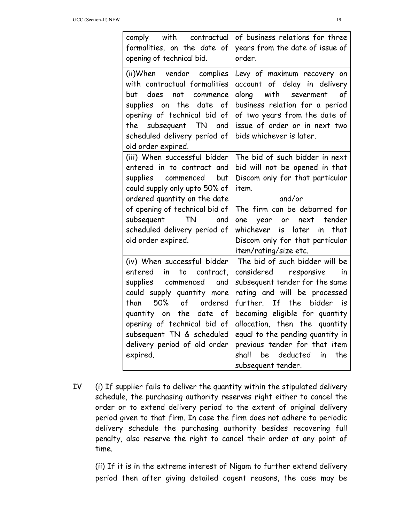| comply with contractual<br>formalities, on the date of<br>opening of technical bid.                                                                                                                                                                                                              | of business relations for three<br>years from the date of issue of<br>order.                                                                                                                                                                                                                                                                                             |
|--------------------------------------------------------------------------------------------------------------------------------------------------------------------------------------------------------------------------------------------------------------------------------------------------|--------------------------------------------------------------------------------------------------------------------------------------------------------------------------------------------------------------------------------------------------------------------------------------------------------------------------------------------------------------------------|
| (ii)When vendor complies<br>with contractual formalities<br>but<br>does not<br>commence<br>the<br>date<br>of<br>supplies on<br>opening of technical bid of<br>the subsequent TN<br>and<br>scheduled delivery period of<br>old order expired.                                                     | Levy of maximum recovery on<br>account of delay in delivery<br>along<br>with severment<br>of<br>business relation for a period<br>of two years from the date of<br>issue of order or in next two<br>bids whichever is later.                                                                                                                                             |
| (iii) When successful bidder<br>entered in to contract and<br>supplies commenced but<br>could supply only upto 50% of<br>ordered quantity on the date<br>of opening of technical bid of<br>subsequent TN and<br>scheduled delivery period of<br>old order expired.                               | The bid of such bidder in next<br>bid will not be opened in that<br>Discom only for that particular<br>item.<br>and/or<br>The firm can be debarred for<br>one year or next tender<br>whichever is<br>later in<br>that<br>Discom only for that particular<br>item/rating/size etc.                                                                                        |
| (iv) When successful bidder<br>entered<br>in<br>to contract,<br>supplies commenced<br>and<br>could supply quantity more<br>than<br>50%<br>of<br>ordered<br>quantity on the<br>date<br>of<br>opening of technical bid of<br>subsequent TN & scheduled<br>delivery period of old order<br>expired. | The bid of such bidder will be<br>considered responsive<br>in<br>subsequent tender for the same<br>rating and will be processed<br>further.<br>If the bidder<br>is is<br>becoming eligible for quantity<br>allocation, then the quantity<br>equal to the pending quantity in<br>previous tender for that item<br>be deducted<br>shall<br>in<br>the<br>subsequent tender. |

IV (i) If supplier fails to deliver the quantity within the stipulated delivery schedule, the purchasing authority reserves right either to cancel the order or to extend delivery period to the extent of original delivery period given to that firm. In case the firm does not adhere to periodic delivery schedule the purchasing authority besides recovering full penalty, also reserve the right to cancel their order at any point of time.

(ii) If it is in the extreme interest of Nigam to further extend delivery period then after giving detailed cogent reasons, the case may be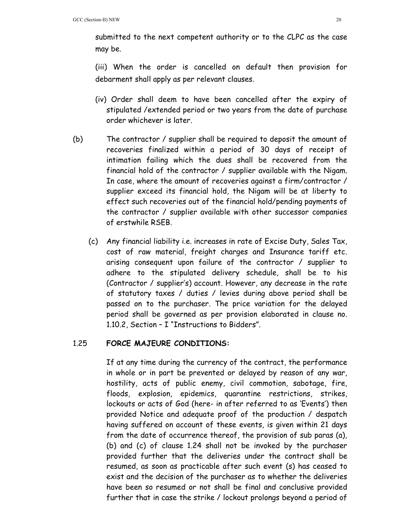submitted to the next competent authority or to the CLPC as the case may be.

(iii) When the order is cancelled on default then provision for debarment shall apply as per relevant clauses.

- (iv) Order shall deem to have been cancelled after the expiry of stipulated /extended period or two years from the date of purchase order whichever is later.
- (b) The contractor / supplier shall be required to deposit the amount of recoveries finalized within a period of 30 days of receipt of intimation failing which the dues shall be recovered from the financial hold of the contractor / supplier available with the Nigam. In case, where the amount of recoveries against a firm/contractor / supplier exceed its financial hold, the Nigam will be at liberty to effect such recoveries out of the financial hold/pending payments of the contractor / supplier available with other successor companies of erstwhile RSEB.
	- (c) Any financial liability i.e. increases in rate of Excise Duty, Sales Tax, cost of raw material, freight charges and Insurance tariff etc. arising consequent upon failure of the contractor / supplier to adhere to the stipulated delivery schedule, shall be to his (Contractor / supplier's) account. However, any decrease in the rate of statutory taxes / duties / levies during above period shall be passed on to the purchaser. The price variation for the delayed period shall be governed as per provision elaborated in clause no. 1.10.2, Section – I "Instructions to Bidders".

## 1.25 **FORCE MAJEURE CONDITIONS:**

If at any time during the currency of the contract, the performance in whole or in part be prevented or delayed by reason of any war, hostility, acts of public enemy, civil commotion, sabotage, fire, floods, explosion, epidemics, quarantine restrictions, strikes, lockouts or acts of God (here- in after referred to as 'Events') then provided Notice and adequate proof of the production / despatch having suffered on account of these events, is given within 21 days from the date of occurrence thereof, the provision of sub paras (a), (b) and (c) of clause 1.24 shall not be invoked by the purchaser provided further that the deliveries under the contract shall be resumed, as soon as practicable after such event (s) has ceased to exist and the decision of the purchaser as to whether the deliveries have been so resumed or not shall be final and conclusive provided further that in case the strike / lockout prolongs beyond a period of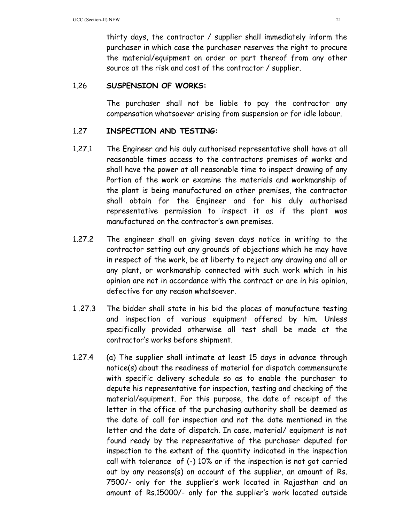thirty days, the contractor / supplier shall immediately inform the purchaser in which case the purchaser reserves the right to procure the material/equipment on order or part thereof from any other source at the risk and cost of the contractor / supplier.

## 1.26 **SUSPENSION OF WORKS:**

 The purchaser shall not be liable to pay the contractor any compensation whatsoever arising from suspension or for idle labour.

## 1.27 **INSPECTION AND TESTING:**

- 1.27.1 The Engineer and his duly authorised representative shall have at all reasonable times access to the contractors premises of works and shall have the power at all reasonable time to inspect drawing of any Portion of the work or examine the materials and workmanship of the plant is being manufactured on other premises, the contractor shall obtain for the Engineer and for his duly authorised representative permission to inspect it as if the plant was manufactured on the contractor's own premises.
- 1.27.2 The engineer shall on giving seven days notice in writing to the contractor setting out any grounds of objections which he may have in respect of the work, be at liberty to reject any drawing and all or any plant, or workmanship connected with such work which in his opinion are not in accordance with the contract or are in his opinion, defective for any reason whatsoever.
- 1 .27.3 The bidder shall state in his bid the places of manufacture testing and inspection of various equipment offered by him. Unless specifically provided otherwise all test shall be made at the contractor's works before shipment.
- 1.27.4 (a) The supplier shall intimate at least 15 days in advance through notice(s) about the readiness of material for dispatch commensurate with specific delivery schedule so as to enable the purchaser to depute his representative for inspection, testing and checking of the material/equipment. For this purpose, the date of receipt of the letter in the office of the purchasing authority shall be deemed as the date of call for inspection and not the date mentioned in the letter and the date of dispatch. In case, material/ equipment is not found ready by the representative of the purchaser deputed for inspection to the extent of the quantity indicated in the inspection call with tolerance of (-) 10% or if the inspection is not got carried out by any reasons(s) on account of the supplier, an amount of Rs. 7500/- only for the supplier's work located in Rajasthan and an amount of Rs.15000/- only for the supplier's work located outside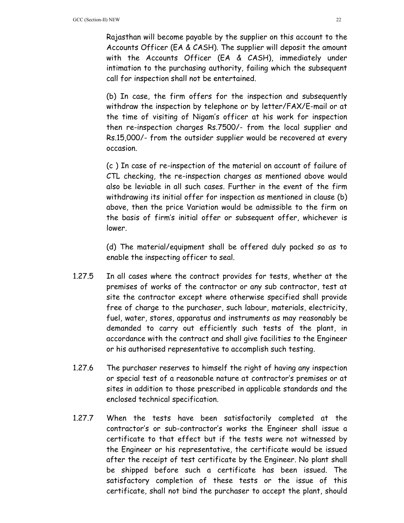Rajasthan will become payable by the supplier on this account to the Accounts Officer (EA & CASH). The supplier will deposit the amount with the Accounts Officer (EA & CASH), immediately under intimation to the purchasing authority, failing which the subsequent call for inspection shall not be entertained.

 (b) In case, the firm offers for the inspection and subsequently withdraw the inspection by telephone or by letter/FAX/E-mail or at the time of visiting of Nigam's officer at his work for inspection then re-inspection charges Rs.7500/- from the local supplier and Rs.15,000/- from the outsider supplier would be recovered at every occasion.

 (c ) In case of re-inspection of the material on account of failure of CTL checking, the re-inspection charges as mentioned above would also be leviable in all such cases. Further in the event of the firm withdrawing its initial offer for inspection as mentioned in clause (b) above, then the price Variation would be admissible to the firm on the basis of firm's initial offer or subsequent offer, whichever is lower.

 (d) The material/equipment shall be offered duly packed so as to enable the inspecting officer to seal.

- 1.27.5 In all cases where the contract provides for tests, whether at the premises of works of the contractor or any sub contractor, test at site the contractor except where otherwise specified shall provide free of charge to the purchaser, such labour, materials, electricity, fuel, water, stores, apparatus and instruments as may reasonably be demanded to carry out efficiently such tests of the plant, in accordance with the contract and shall give facilities to the Engineer or his authorised representative to accomplish such testing.
- 1.27.6 The purchaser reserves to himself the right of having any inspection or special test of a reasonable nature at contractor's premises or at sites in addition to those prescribed in applicable standards and the enclosed technical specification.
- 1.27.7 When the tests have been satisfactorily completed at the contractor's or sub-contractor's works the Engineer shall issue a certificate to that effect but if the tests were not witnessed by the Engineer or his representative, the certificate would be issued after the receipt of test certificate by the Engineer. No plant shall be shipped before such a certificate has been issued. The satisfactory completion of these tests or the issue of this certificate, shall not bind the purchaser to accept the plant, should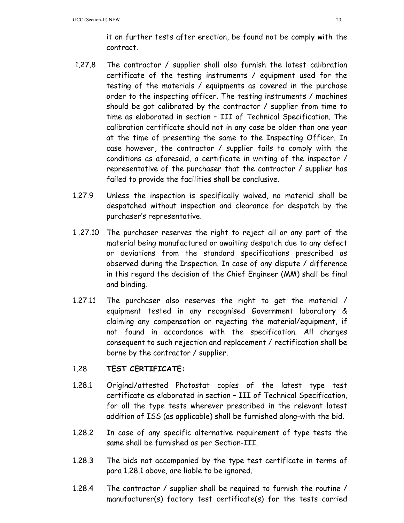it on further tests after erection, be found not be comply with the contract.

- 1.27.8 The contractor / supplier shall also furnish the latest calibration certificate of the testing instruments / equipment used for the testing of the materials / equipments as covered in the purchase order to the inspecting officer. The testing instruments / machines should be got calibrated by the contractor / supplier from time to time as elaborated in section – III of Technical Specification. The calibration certificate should not in any case be older than one year at the time of presenting the same to the Inspecting Officer. In case however, the contractor / supplier fails to comply with the conditions as aforesaid, a certificate in writing of the inspector / representative of the purchaser that the contractor / supplier has failed to provide the facilities shall be conclusive.
- 1.27.9 Unless the inspection is specifically waived, no material shall be despatched without inspection and clearance for despatch by the purchaser's representative.
- 1 .27.10 The purchaser reserves the right to reject all or any part of the material being manufactured or awaiting despatch due to any defect or deviations from the standard specifications prescribed as observed during the Inspection. In case of any dispute / difference in this regard the decision of the Chief Engineer (MM) shall be final and binding.
- 1.27.11 The purchaser also reserves the right to get the material / equipment tested in any recognised Government laboratory & claiming any compensation or rejecting the material/equipment, if not found in accordance with the specification. All charges consequent to such rejection and replacement / rectification shall be borne by the contractor / supplier.

## 1.28 **TEST CERTIFICATE:**

- 1.28.1 Original/attested Photostat copies of the latest type test certificate as elaborated in section – III of Technical Specification, for all the type tests wherever prescribed in the relevant latest addition of ISS (as applicable) shall be furnished along-with the bid.
- 1.28.2 In case of any specific alternative requirement of type tests the same shall be furnished as per Section-III.
- 1.28.3 The bids not accompanied by the type test certificate in terms of para 1.28.1 above, are liable to be ignored.
- 1.28.4 The contractor / supplier shall be required to furnish the routine / manufacturer(s) factory test certificate(s) for the tests carried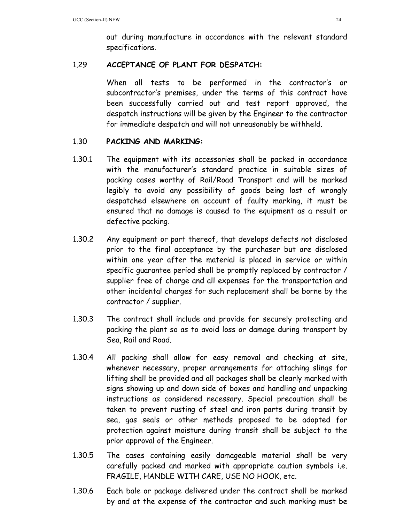out during manufacture in accordance with the relevant standard specifications.

## 1.29 **ACCEPTANCE OF PLANT FOR DESPATCH:**

 When all tests to be performed in the contractor's or subcontractor's premises, under the terms of this contract have been successfully carried out and test report approved, the despatch instructions will be given by the Engineer to the contractor for immediate despatch and will not unreasonably be withheld.

## 1.30 **PACKING AND MARKING:**

- 1.30.1 The equipment with its accessories shall be packed in accordance with the manufacturer's standard practice in suitable sizes of packing cases worthy of Rail/Road Transport and will be marked legibly to avoid any possibility of goods being lost of wrongly despatched elsewhere on account of faulty marking, it must be ensured that no damage is caused to the equipment as a result or defective packing.
- 1.30.2 Any equipment or part thereof, that develops defects not disclosed prior to the final acceptance by the purchaser but are disclosed within one year after the material is placed in service or within specific guarantee period shall be promptly replaced by contractor / supplier free of charge and all expenses for the transportation and other incidental charges for such replacement shall be borne by the contractor / supplier.
- 1.30.3 The contract shall include and provide for securely protecting and packing the plant so as to avoid loss or damage during transport by Sea, Rail and Road.
- 1.30.4 All packing shall allow for easy removal and checking at site, whenever necessary, proper arrangements for attaching slings for lifting shall be provided and all packages shall be clearly marked with signs showing up and down side of boxes and handling and unpacking instructions as considered necessary. Special precaution shall be taken to prevent rusting of steel and iron parts during transit by sea, gas seals or other methods proposed to be adopted for protection against moisture during transit shall be subject to the prior approval of the Engineer.
- 1.30.5 The cases containing easily damageable material shall be very carefully packed and marked with appropriate caution symbols i.e. FRAGILE, HANDLE WITH CARE, USE NO HOOK, etc.
- 1.30.6 Each bale or package delivered under the contract shall be marked by and at the expense of the contractor and such marking must be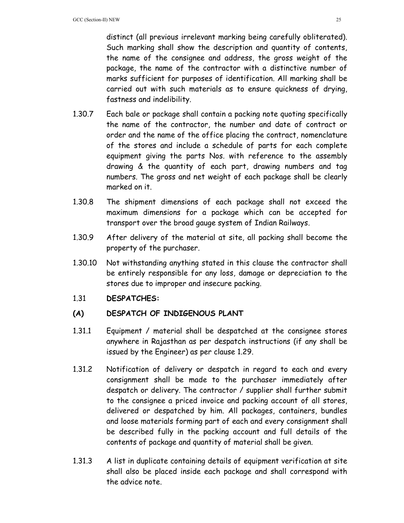distinct (all previous irrelevant marking being carefully obliterated). Such marking shall show the description and quantity of contents, the name of the consignee and address, the gross weight of the package, the name of the contractor with a distinctive number of marks sufficient for purposes of identification. All marking shall be carried out with such materials as to ensure quickness of drying, fastness and indelibility.

- 1.30.7 Each bale or package shall contain a packing note quoting specifically the name of the contractor, the number and date of contract or order and the name of the office placing the contract, nomenclature of the stores and include a schedule of parts for each complete equipment giving the parts Nos. with reference to the assembly drawing & the quantity of each part, drawing numbers and tag numbers. The gross and net weight of each package shall be clearly marked on it.
- 1.30.8 The shipment dimensions of each package shall not exceed the maximum dimensions for a package which can be accepted for transport over the broad gauge system of Indian Railways.
- 1.30.9 After delivery of the material at site, all packing shall become the property of the purchaser.
- 1.30.10 Not withstanding anything stated in this clause the contractor shall be entirely responsible for any loss, damage or depreciation to the stores due to improper and insecure packing.

## 1.31 **DESPATCHES:**

## **(A) DESPATCH OF INDIGENOUS PLANT**

- 1.31.1 Equipment / material shall be despatched at the consignee stores anywhere in Rajasthan as per despatch instructions (if any shall be issued by the Engineer) as per clause 1.29.
- 1.31.2 Notification of delivery or despatch in regard to each and every consignment shall be made to the purchaser immediately after despatch or delivery. The contractor / supplier shall further submit to the consignee a priced invoice and packing account of all stores, delivered or despatched by him. All packages, containers, bundles and loose materials forming part of each and every consignment shall be described fully in the packing account and full details of the contents of package and quantity of material shall be given.
- 1.31.3 A list in duplicate containing details of equipment verification at site shall also be placed inside each package and shall correspond with the advice note.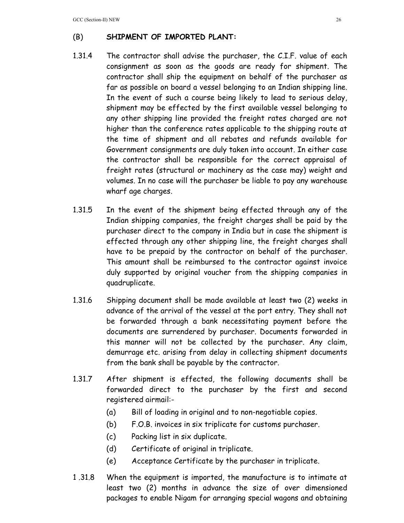# (B) **SHIPMENT OF IMPORTED PLANT:**

- 1.31.4 The contractor shall advise the purchaser, the C.I.F. value of each consignment as soon as the goods are ready for shipment. The contractor shall ship the equipment on behalf of the purchaser as far as possible on board a vessel belonging to an Indian shipping line. In the event of such a course being likely to lead to serious delay, shipment may be effected by the first available vessel belonging to any other shipping line provided the freight rates charged are not higher than the conference rates applicable to the shipping route at the time of shipment and all rebates and refunds available for Government consignments are duly taken into account. In either case the contractor shall be responsible for the correct appraisal of freight rates (structural or machinery as the case may) weight and volumes. In no case will the purchaser be liable to pay any warehouse wharf age charges.
- 1.31.5 In the event of the shipment being effected through any of the Indian shipping companies, the freight charges shall be paid by the purchaser direct to the company in India but in case the shipment is effected through any other shipping line, the freight charges shall have to be prepaid by the contractor on behalf of the purchaser. This amount shall be reimbursed to the contractor against invoice duly supported by original voucher from the shipping companies in quadruplicate.
- 1.31.6 Shipping document shall be made available at least two (2) weeks in advance of the arrival of the vessel at the port entry. They shall not be forwarded through a bank necessitating payment before the documents are surrendered by purchaser. Documents forwarded in this manner will not be collected by the purchaser. Any claim, demurrage etc. arising from delay in collecting shipment documents from the bank shall be payable by the contractor.
- 1.31.7 After shipment is effected, the following documents shall be forwarded direct to the purchaser by the first and second registered airmail:-
	- (a) Bill of loading in original and to non-negotiable copies.
	- (b) F.O.B. invoices in six triplicate for customs purchaser.
	- (c) Packing list in six duplicate.
	- (d) Certificate of original in triplicate.
	- (e) Acceptance Certificate by the purchaser in triplicate.
- 1 .31.8 When the equipment is imported, the manufacture is to intimate at least two (2) months in advance the size of over dimensioned packages to enable Nigam for arranging special wagons and obtaining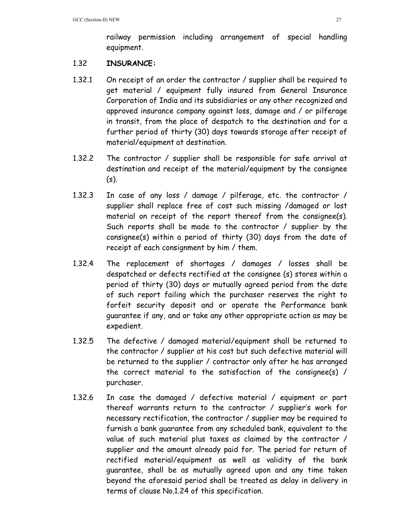railway permission including arrangement of special handling equipment.

## 1.32 **INSURANCE:**

- 1.32.1 On receipt of an order the contractor / supplier shall be required to get material / equipment fully insured from General Insurance Corporation of India and its subsidiaries or any other recognized and approved insurance company against loss, damage and / or pilferage in transit, from the place of despatch to the destination and for a further period of thirty (30) days towards storage after receipt of material/equipment at destination.
- 1.32.2 The contractor / supplier shall be responsible for safe arrival at destination and receipt of the material/equipment by the consignee  $(s)$ .
- 1.32.3 In case of any loss / damage / pilferage, etc. the contractor / supplier shall replace free of cost such missing /damaged or lost material on receipt of the report thereof from the consignee(s). Such reports shall be made to the contractor / supplier by the consignee(s) within a period of thirty (30) days from the date of receipt of each consignment by him / them.
- 1.32.4 The replacement of shortages / damages / losses shall be despatched or defects rectified at the consignee (s) stores within a period of thirty (30) days or mutually agreed period from the date of such report failing which the purchaser reserves the right to forfeit security deposit and or operate the Performance bank guarantee if any, and or take any other appropriate action as may be expedient.
- 1.32.5 The defective / damaged material/equipment shall be returned to the contractor / supplier at his cost but such defective material will be returned to the supplier / contractor only after he has arranged the correct material to the satisfaction of the consignee(s) / purchaser.
- 1.32.6 In case the damaged / defective material / equipment or part thereof warrants return to the contractor / supplier's work for necessary rectification, the contractor / supplier may be required to furnish a bank guarantee from any scheduled bank, equivalent to the value of such material plus taxes as claimed by the contractor / supplier and the amount already paid for. The period for return of rectified material/equipment as well as validity of the bank guarantee, shall be as mutually agreed upon and any time taken beyond the aforesaid period shall be treated as delay in delivery in terms of clause No.1.24 of this specification.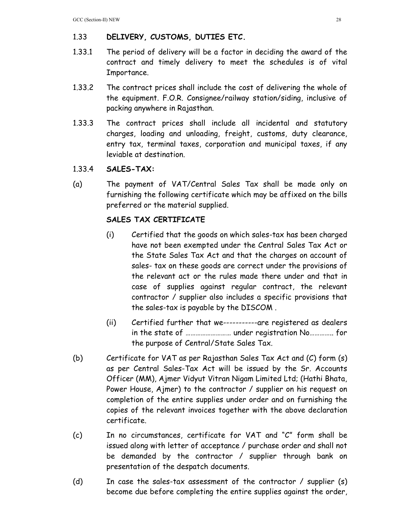# 1.33 **DELIVERY, CUSTOMS, DUTIES ETC.**

- 1.33.1 The period of delivery will be a factor in deciding the award of the contract and timely delivery to meet the schedules is of vital Importance.
- 1.33.2 The contract prices shall include the cost of delivering the whole of the equipment. F.O.R. Consignee/railway station/siding, inclusive of packing anywhere in Rajasthan.
- 1.33.3 The contract prices shall include all incidental and statutory charges, loading and unloading, freight, customs, duty clearance, entry tax, terminal taxes, corporation and municipal taxes, if any leviable at destination.
- 1.33.4 **SALES-TAX:**
- (a) The payment of VAT/Central Sales Tax shall be made only on furnishing the following certificate which may be affixed on the bills preferred or the material supplied.

# **SALES TAX CERTIFICATE**

- (i) Certified that the goods on which sales-tax has been charged have not been exempted under the Central Sales Tax Act or the State Sales Tax Act and that the charges on account of sales- tax on these goods are correct under the provisions of the relevant act or the rules made there under and that in case of supplies against regular contract, the relevant contractor / supplier also includes a specific provisions that the sales-tax is payable by the DISCOM .
- (ii) Certified further that we-----------are registered as dealers in the state of ……………………… under registration No………….. for the purpose of Central/State Sales Tax.
- (b) Certificate for VAT as per Rajasthan Sales Tax Act and (C) form (s) as per Central Sales-Tax Act will be issued by the Sr. Accounts Officer (MM), Ajmer Vidyut Vitran Nigam Limited Ltd; (Hathi Bhata, Power House, Ajmer) to the contractor / supplier on his request on completion of the entire supplies under order and on furnishing the copies of the relevant invoices together with the above declaration certificate.
- (c) In no circumstances, certificate for VAT and "C" form shall be issued along with letter of acceptance / purchase order and shall not be demanded by the contractor / supplier through bank on presentation of the despatch documents.
- (d) In case the sales-tax assessment of the contractor / supplier (s) become due before completing the entire supplies against the order,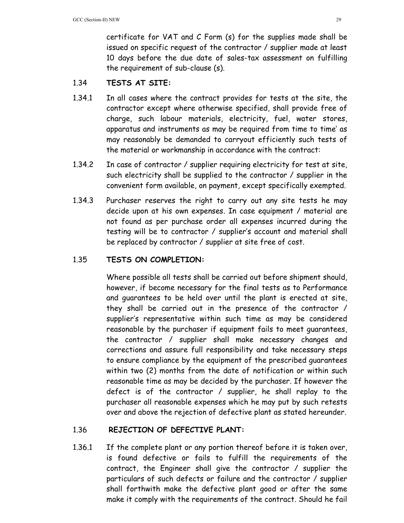certificate for VAT and C Form (s) for the supplies made shall be issued on specific request of the contractor / supplier made at least 10 days before the due date of sales-tax assessment on fulfilling the requirement of sub-clause (s).

## 1.34 **TESTS AT SITE:**

- 1.34.1 In all cases where the contract provides for tests at the site, the contractor except where otherwise specified, shall provide free of charge, such labour materials, electricity, fuel, water stores, apparatus and instruments as may be required from time to time' as may reasonably be demanded to carryout efficiently such tests of the material or workmanship in accordance with the contract:
- 1.34.2 In case of contractor / supplier requiring electricity for test at site, such electricity shall be supplied to the contractor / supplier in the convenient form available, on payment, except specifically exempted.
- 1.34.3 Purchaser reserves the right to carry out any site tests he may decide upon at his own expenses. In case equipment / material are not found as per purchase order all expenses incurred during the testing will be to contractor / supplier's account and material shall be replaced by contractor / supplier at site free of cost.

## 1.35 **TESTS ON COMPLETION:**

Where possible all tests shall be carried out before shipment should, however, if become necessary for the final tests as to Performance and guarantees to be held over until the plant is erected at site, they shall be carried out in the presence of the contractor / supplier's representative within such time as may be considered reasonable by the purchaser if equipment fails to meet guarantees, the contractor / supplier shall make necessary changes and corrections and assure full responsibility and take necessary steps to ensure compliance by the equipment of the prescribed guarantees within two (2) months from the date of notification or within such reasonable time as may be decided by the purchaser. If however the defect is of the contractor / supplier, he shall replay to the purchaser all reasonable expenses which he may put by such retests over and above the rejection of defective plant as stated hereunder.

## 1.36 **REJECTION OF DEFECTIVE PLANT:**

1.36.1 If the complete plant or any portion thereof before it is taken over, is found defective or fails to fulfill the requirements of the contract, the Engineer shall give the contractor / supplier the particulars of such defects or failure and the contractor / supplier shall forthwith make the defective plant good or after the same make it comply with the requirements of the contract. Should he fail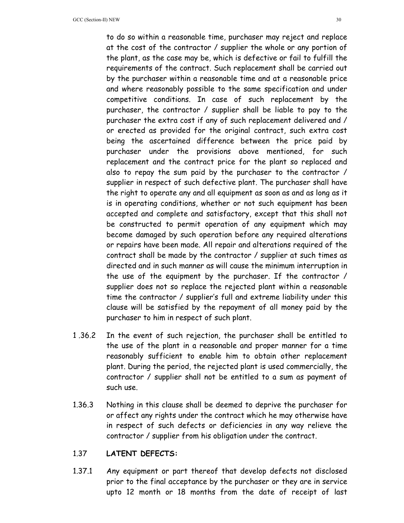to do so within a reasonable time, purchaser may reject and replace at the cost of the contractor / supplier the whole or any portion of the plant, as the case may be, which is defective or fail to fulfill the requirements of the contract. Such replacement shall be carried out by the purchaser within a reasonable time and at a reasonable price and where reasonably possible to the same specification and under competitive conditions. In case of such replacement by the purchaser, the contractor / supplier shall be liable to pay to the purchaser the extra cost if any of such replacement delivered and / or erected as provided for the original contract, such extra cost being the ascertained difference between the price paid by purchaser under the provisions above mentioned, for such replacement and the contract price for the plant so replaced and also to repay the sum paid by the purchaser to the contractor / supplier in respect of such defective plant. The purchaser shall have the right to operate any and all equipment as soon as and as long as it is in operating conditions, whether or not such equipment has been accepted and complete and satisfactory, except that this shall not be constructed to permit operation of any equipment which may become damaged by such operation before any required alterations or repairs have been made. All repair and alterations required of the contract shall be made by the contractor / supplier at such times as directed and in such manner as will cause the minimum interruption in the use of the equipment by the purchaser. If the contractor / supplier does not so replace the rejected plant within a reasonable time the contractor / supplier's full and extreme liability under this clause will be satisfied by the repayment of all money paid by the purchaser to him in respect of such plant.

- 1 .36.2 In the event of such rejection, the purchaser shall be entitled to the use of the plant in a reasonable and proper manner for a time reasonably sufficient to enable him to obtain other replacement plant. During the period, the rejected plant is used commercially, the contractor / supplier shall not be entitled to a sum as payment of such use.
- 1.36.3 Nothing in this clause shall be deemed to deprive the purchaser for or affect any rights under the contract which he may otherwise have in respect of such defects or deficiencies in any way relieve the contractor / supplier from his obligation under the contract.

#### 1.37 **LATENT DEFECTS:**

1.37.1 Any equipment or part thereof that develop defects not disclosed prior to the final acceptance by the purchaser or they are in service upto 12 month or 18 months from the date of receipt of last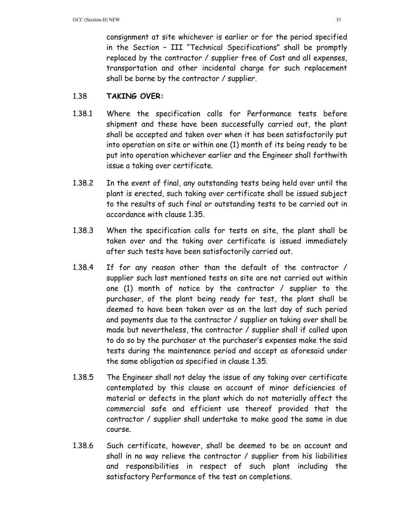consignment at site whichever is earlier or for the period specified in the Section – III "Technical Specifications" shall be promptly replaced by the contractor / supplier free of Cost and all expenses, transportation and other incidental charge for such replacement shall be borne by the contractor / supplier.

## 1.38 **TAKING OVER:**

- 1.38.1 Where the specification calls for Performance tests before shipment and these have been successfully carried out, the plant shall be accepted and taken over when it has been satisfactorily put into operation on site or within one (1) month of its being ready to be put into operation whichever earlier and the Engineer shall forthwith issue a taking over certificate.
- 1.38.2 In the event of final, any outstanding tests being held over until the plant is erected, such taking over certificate shall be issued subject to the results of such final or outstanding tests to be carried out in accordance with clause 1.35.
- 1.38.3 When the specification calls for tests on site, the plant shall be taken over and the taking over certificate is issued immediately after such tests have been satisfactorily carried out.
- 1.38.4 If for any reason other than the default of the contractor / supplier such last mentioned tests on site are not carried out within one (1) month of notice by the contractor / supplier to the purchaser, of the plant being ready for test, the plant shall be deemed to have been taken over as on the last day of such period and payments due to the contractor / supplier on taking over shall be made but nevertheless, the contractor / supplier shall if called upon to do so by the purchaser at the purchaser's expenses make the said tests during the maintenance period and accept as aforesaid under the same obligation as specified in clause 1.35.
- 1.38.5 The Engineer shall not delay the issue of any taking over certificate contemplated by this clause on account of minor deficiencies of material or defects in the plant which do not materially affect the commercial safe and efficient use thereof provided that the contractor / supplier shall undertake to make good the same in due course.
- 1.38.6 Such certificate, however, shall be deemed to be on account and shall in no way relieve the contractor / supplier from his liabilities and responsibilities in respect of such plant including the satisfactory Performance of the test on completions.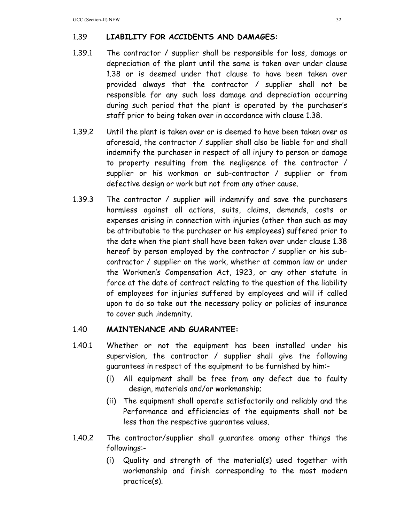# 1.39 **LIABILITY FOR ACCIDENTS AND DAMAGES:**

- 1.39.1 The contractor / supplier shall be responsible for loss, damage or depreciation of the plant until the same is taken over under clause 1.38 or is deemed under that clause to have been taken over provided always that the contractor / supplier shall not be responsible for any such loss damage and depreciation occurring during such period that the plant is operated by the purchaser's staff prior to being taken over in accordance with clause 1.38.
- 1.39.2 Until the plant is taken over or is deemed to have been taken over as aforesaid, the contractor / supplier shall also be liable for and shall indemnify the purchaser in respect of all injury to person or damage to property resulting from the negligence of the contractor / supplier or his workman or sub-contractor / supplier or from defective design or work but not from any other cause.
- 1.39.3 The contractor / supplier will indemnify and save the purchasers harmless against all actions, suits, claims, demands, costs or expenses arising in connection with injuries (other than such as may be attributable to the purchaser or his employees) suffered prior to the date when the plant shall have been taken over under clause 1.38 hereof by person employed by the contractor / supplier or his subcontractor / supplier on the work, whether at common law or under the Workmen's Compensation Act, 1923, or any other statute in force at the date of contract relating to the question of the liability of employees for injuries suffered by employees and will if called upon to do so take out the necessary policy or policies of insurance to cover such .indemnity.

## 1.40 **MAINTENANCE AND GUARANTEE:**

- 1.40.1 Whether or not the equipment has been installed under his supervision, the contractor / supplier shall give the following guarantees in respect of the equipment to be furnished by him:-
	- (i) All equipment shall be free from any defect due to faulty design, materials and/or workmanship;
	- (ii) The equipment shall operate satisfactorily and reliably and the Performance and efficiencies of the equipments shall not be less than the respective guarantee values.
- 1.40.2 The contractor/supplier shall guarantee among other things the followings:-
	- (i) Quality and strength of the material(s) used together with workmanship and finish corresponding to the most modern practice(s).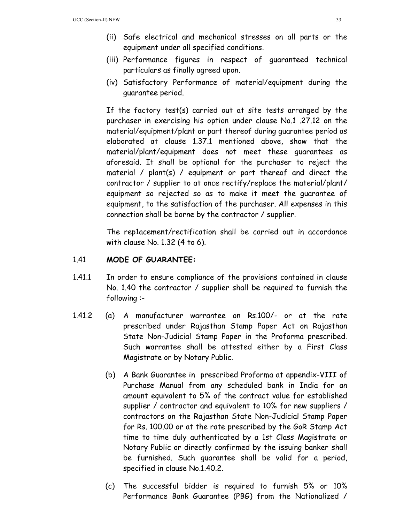- (ii) Safe electrical and mechanical stresses on all parts or the equipment under all specified conditions.
- (iii) Performance figures in respect of guaranteed technical particulars as finally agreed upon.
- (iv) Satisfactory Performance of material/equipment during the guarantee period.

If the factory test(s) carried out at site tests arranged by the purchaser in exercising his option under clause No.1 .27.12 on the material/equipment/plant or part thereof during guarantee period as elaborated at clause 1.37.1 mentioned above, show that the material/plant/equipment does not meet these guarantees as aforesaid. It shall be optional for the purchaser to reject the material / plant(s) / equipment or part thereof and direct the contractor / supplier to at once rectify/replace the material/plant/ equipment so rejected so as to make it meet the guarantee of equipment, to the satisfaction of the purchaser. All expenses in this connection shall be borne by the contractor / supplier.

The rep1acement/rectification shall be carried out in accordance with clause No. 1.32 (4 to 6).

## 1.41 **MODE OF GUARANTEE:**

- 1.41.1 In order to ensure compliance of the provisions contained in clause No. 1.40 the contractor / supplier shall be required to furnish the following :-
- 1.41.2 (a) A manufacturer warrantee on Rs.100/- or at the rate prescribed under Rajasthan Stamp Paper Act on Rajasthan State Non-Judicial Stamp Paper in the Proforma prescribed. Such warrantee shall be attested either by a First Class Magistrate or by Notary Public.
	- (b) A Bank Guarantee in prescribed Proforma at appendix-VIII of Purchase Manual from any scheduled bank in India for an amount equivalent to 5% of the contract value for established supplier / contractor and equivalent to 10% for new suppliers / contractors on the Rajasthan State Non-Judicial Stamp Paper for Rs. 100.00 or at the rate prescribed by the GoR Stamp Act time to time duly authenticated by a 1st Class Magistrate or Notary Public or directly confirmed by the issuing banker shall be furnished. Such guarantee shall be valid for a period, specified in clause No.1.40.2.
	- (c) The successful bidder is required to furnish 5% or 10% Performance Bank Guarantee (PBG) from the Nationalized /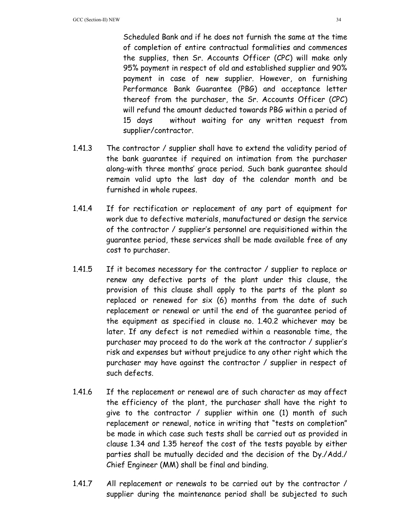Scheduled Bank and if he does not furnish the same at the time of completion of entire contractual formalities and commences the supplies, then Sr. Accounts Officer (CPC) will make only 95% payment in respect of old and established supplier and 90% payment in case of new supplier. However, on furnishing Performance Bank Guarantee (PBG) and acceptance letter thereof from the purchaser, the Sr. Accounts Officer (CPC) will refund the amount deducted towards PBG within a period of 15 days without waiting for any written request from supplier/contractor.

- 1.41.3 The contractor / supplier shall have to extend the validity period of the bank guarantee if required on intimation from the purchaser along-with three months' grace period. Such bank guarantee should remain valid upto the last day of the calendar month and be furnished in whole rupees.
- 1.41.4 If for rectification or replacement of any part of equipment for work due to defective materials, manufactured or design the service of the contractor / supplier's personnel are requisitioned within the guarantee period, these services shall be made available free of any cost to purchaser.
- 1.41.5 If it becomes necessary for the contractor / supplier to replace or renew any defective parts of the plant under this clause, the provision of this clause shall apply to the parts of the plant so replaced or renewed for six (6) months from the date of such replacement or renewal or until the end of the guarantee period of the equipment as specified in clause no. 1.40.2 whichever may be later. If any defect is not remedied within a reasonable time, the purchaser may proceed to do the work at the contractor / supplier's risk and expenses but without prejudice to any other right which the purchaser may have against the contractor / supplier in respect of such defects.
- 1.41.6 If the replacement or renewal are of such character as may affect the efficiency of the plant, the purchaser shall have the right to give to the contractor / supplier within one (1) month of such replacement or renewal, notice in writing that "tests on completion" be made in which case such tests shall be carried out as provided in clause 1.34 and 1.35 hereof the cost of the tests payable by either parties shall be mutually decided and the decision of the Dy./Add./ Chief Engineer (MM) shall be final and binding.
- 1.41.7 All replacement or renewals to be carried out by the contractor / supplier during the maintenance period shall be subjected to such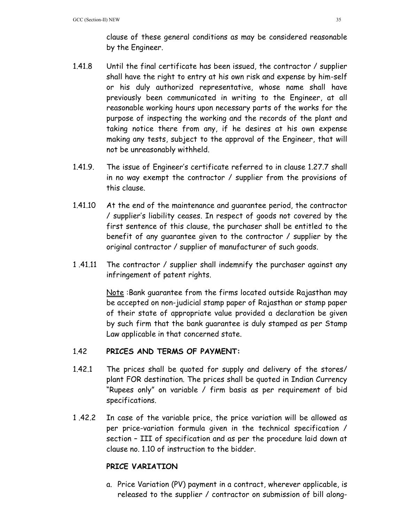clause of these general conditions as may be considered reasonable by the Engineer.

- 1.41.8 Until the final certificate has been issued, the contractor / supplier shall have the right to entry at his own risk and expense by him-self or his duly authorized representative, whose name shall have previously been communicated in writing to the Engineer, at all reasonable working hours upon necessary parts of the works for the purpose of inspecting the working and the records of the plant and taking notice there from any, if he desires at his own expense making any tests, subject to the approval of the Engineer, that will not be unreasonably withheld.
- 1.41.9. The issue of Engineer's certificate referred to in clause 1.27.7 shall in no way exempt the contractor / supplier from the provisions of this clause.
- 1.41.10 At the end of the maintenance and guarantee period, the contractor / supplier's liability ceases. In respect of goods not covered by the first sentence of this clause, the purchaser shall be entitled to the benefit of any guarantee given to the contractor / supplier by the original contractor / supplier of manufacturer of such goods.
- 1 .41.11 The contractor / supplier shall indemnify the purchaser against any infringement of patent rights.

 Note :Bank guarantee from the firms located outside Rajasthan may be accepted on non-judicial stamp paper of Rajasthan or stamp paper of their state of appropriate value provided a declaration be given by such firm that the bank guarantee is duly stamped as per Stamp Law applicable in that concerned state.

## 1.42 **PRICES AND TERMS OF PAYMENT:**

- 1.42.1 The prices shall be quoted for supply and delivery of the stores/ plant FOR destination. The prices shall be quoted in Indian Currency "Rupees only" on variable / firm basis as per requirement of bid specifications.
- 1 .42.2 In case of the variable price, the price variation will be allowed as per price-variation formula given in the technical specification / section – III of specification and as per the procedure laid down at clause no. 1.10 of instruction to the bidder.

## **PRICE VARIATION**

a. Price Variation (PV) payment in a contract, wherever applicable, is released to the supplier / contractor on submission of bill along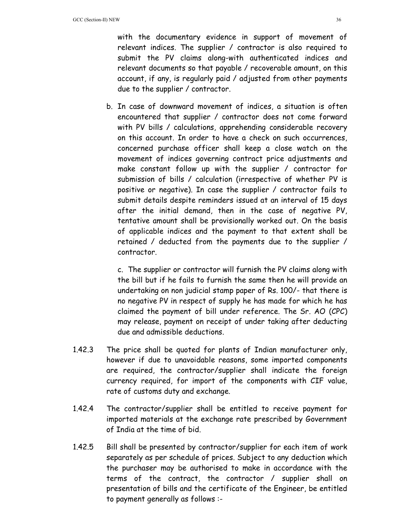with the documentary evidence in support of movement of relevant indices. The supplier / contractor is also required to submit the PV claims along-with authenticated indices and relevant documents so that payable / recoverable amount, on this account, if any, is regularly paid / adjusted from other payments due to the supplier / contractor.

b. In case of downward movement of indices, a situation is often encountered that supplier / contractor does not come forward with PV bills / calculations, apprehending considerable recovery on this account. In order to have a check on such occurrences, concerned purchase officer shall keep a close watch on the movement of indices governing contract price adjustments and make constant follow up with the supplier / contractor for submission of bills / calculation (irrespective of whether PV is positive or negative). In case the supplier / contractor fails to submit details despite reminders issued at an interval of 15 days after the initial demand, then in the case of negative PV, tentative amount shall be provisionally worked out. On the basis of applicable indices and the payment to that extent shall be retained / deducted from the payments due to the supplier / contractor.

c. The supplier or contractor will furnish the PV claims along with the bill but if he fails to furnish the same then he will provide an undertaking on non judicial stamp paper of Rs. 100/- that there is no negative PV in respect of supply he has made for which he has claimed the payment of bill under reference. The Sr. AO (CPC) may release, payment on receipt of under taking after deducting due and admissible deductions.

- 1.42.3 The price shall be quoted for plants of Indian manufacturer only, however if due to unavoidable reasons, some imported components are required, the contractor/supplier shall indicate the foreign currency required, for import of the components with CIF value, rate of customs duty and exchange.
- 1.42.4 The contractor/supplier shall be entitled to receive payment for imported materials at the exchange rate prescribed by Government of India at the time of bid.
- 1.42.5 Bill shall be presented by contractor/supplier for each item of work separately as per schedule of prices. Subject to any deduction which the purchaser may be authorised to make in accordance with the terms of the contract, the contractor / supplier shall on presentation of bills and the certificate of the Engineer, be entitled to payment generally as follows :-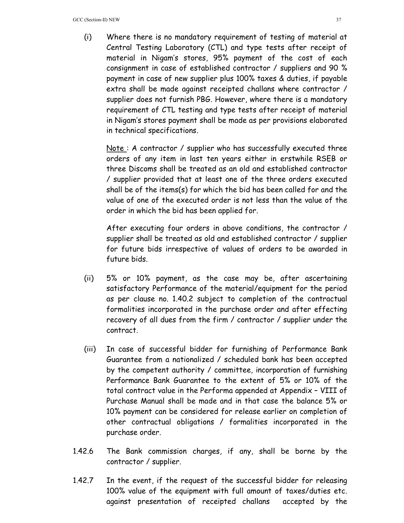(i) Where there is no mandatory requirement of testing of material at Central Testing Laboratory (CTL) and type tests after receipt of material in Nigam's stores, 95% payment of the cost of each consignment in case of established contractor / suppliers and 90 % payment in case of new supplier plus 100% taxes & duties, if payable extra shall be made against receipted challans where contractor / supplier does not furnish PBG. However, where there is a mandatory requirement of CTL testing and type tests after receipt of material in Nigam's stores payment shall be made as per provisions elaborated in technical specifications.

Note: A contractor / supplier who has successfully executed three orders of any item in last ten years either in erstwhile RSEB or three Discoms shall be treated as an old and established contractor / supplier provided that at least one of the three orders executed shall be of the items(s) for which the bid has been called for and the value of one of the executed order is not less than the value of the order in which the bid has been applied for.

After executing four orders in above conditions, the contractor / supplier shall be treated as old and established contractor / supplier for future bids irrespective of values of orders to be awarded in future bids.

- (ii) 5% or 10% payment, as the case may be, after ascertaining satisfactory Performance of the material/equipment for the period as per clause no. 1.40.2 subject to completion of the contractual formalities incorporated in the purchase order and after effecting recovery of all dues from the firm / contractor / supplier under the contract.
- (iii) In case of successful bidder for furnishing of Performance Bank Guarantee from a nationalized / scheduled bank has been accepted by the competent authority / committee, incorporation of furnishing Performance Bank Guarantee to the extent of 5% or 10% of the total contract value in the Performa appended at Appendix – VIII of Purchase Manual shall be made and in that case the balance 5% or 10% payment can be considered for release earlier on completion of other contractual obligations / formalities incorporated in the purchase order.
- 1.42.6 The Bank commission charges, if any, shall be borne by the contractor / supplier.
- 1.42.7 In the event, if the request of the successful bidder for releasing 100% value of the equipment with full amount of taxes/duties etc. against presentation of receipted challans accepted by the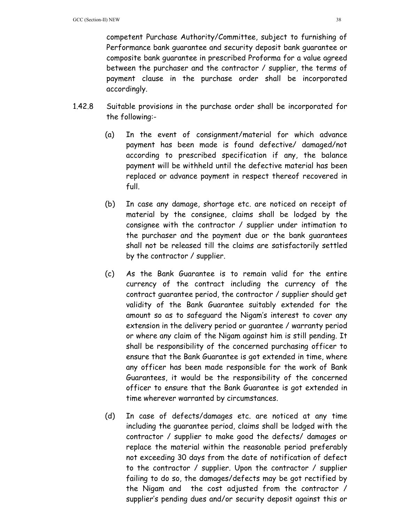competent Purchase Authority/Committee, subject to furnishing of Performance bank guarantee and security deposit bank guarantee or composite bank guarantee in prescribed Proforma for a value agreed between the purchaser and the contractor / supplier, the terms of payment clause in the purchase order shall be incorporated accordingly.

- 1.42.8 Suitable provisions in the purchase order shall be incorporated for the following:-
	- (a) In the event of consignment/material for which advance payment has been made is found defective/ damaged/not according to prescribed specification if any, the balance payment will be withheld until the defective material has been replaced or advance payment in respect thereof recovered in full.
	- (b) In case any damage, shortage etc. are noticed on receipt of material by the consignee, claims shall be lodged by the consignee with the contractor / supplier under intimation to the purchaser and the payment due or the bank guarantees shall not be released till the claims are satisfactorily settled by the contractor / supplier.
	- (c) As the Bank Guarantee is to remain valid for the entire currency of the contract including the currency of the contract guarantee period, the contractor / supplier should get validity of the Bank Guarantee suitably extended for the amount so as to safeguard the Nigam's interest to cover any extension in the delivery period or guarantee / warranty period or where any claim of the Nigam against him is still pending. It shall be responsibility of the concerned purchasing officer to ensure that the Bank Guarantee is got extended in time, where any officer has been made responsible for the work of Bank Guarantees, it would be the responsibility of the concerned officer to ensure that the Bank Guarantee is got extended in time wherever warranted by circumstances.
	- (d) In case of defects/damages etc. are noticed at any time including the guarantee period, claims shall be lodged with the contractor / supplier to make good the defects/ damages or replace the material within the reasonable period preferably not exceeding 30 days from the date of notification of defect to the contractor / supplier. Upon the contractor / supplier failing to do so, the damages/defects may be got rectified by the Nigam and the cost adjusted from the contractor / supplier's pending dues and/or security deposit against this or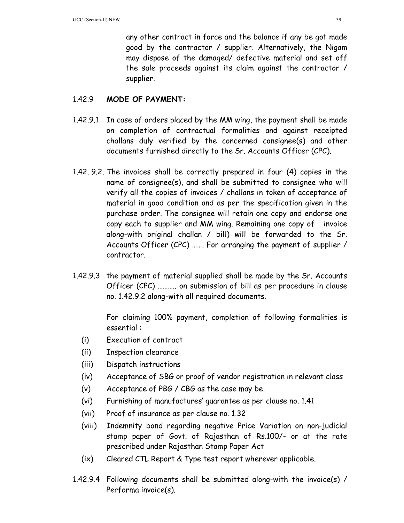any other contract in force and the balance if any be got made good by the contractor / supplier. Alternatively, the Nigam may dispose of the damaged/ defective material and set off the sale proceeds against its claim against the contractor / supplier.

## 1.42.9 **MODE OF PAYMENT:**

- 1.42.9.1 In case of orders placed by the MM wing, the payment shall be made on completion of contractual formalities and against receipted challans duly verified by the concerned consignee(s) and other documents furnished directly to the Sr. Accounts Officer (CPC).
- 1.42. 9.2. The invoices shall be correctly prepared in four (4) copies in the name of consignee(s), and shall be submitted to consignee who will verify all the copies of invoices / challans in token of acceptance of material in good condition and as per the specification given in the purchase order. The consignee will retain one copy and endorse one copy each to supplier and MM wing. Remaining one copy of invoice along-with original challan / bill) will be forwarded to the Sr. Accounts Officer (CPC) ……. For arranging the payment of supplier / contractor.
- 1.42.9.3 the payment of material supplied shall be made by the Sr. Accounts Officer (CPC) ……….. on submission of bill as per procedure in clause no. 1.42.9.2 along-with all required documents.

 For claiming 100% payment, completion of following formalities is essential :

- (i) Execution of contract
- (ii) Inspection clearance
- (iii) Dispatch instructions
- (iv) Acceptance of SBG or proof of vendor registration in relevant class
- (v) Acceptance of PBG / CBG as the case may be.
- (vi) Furnishing of manufactures' guarantee as per clause no. 1.41
- (vii) Proof of insurance as per clause no. 1.32
- (viii) Indemnity bond regarding negative Price Variation on non-judicial stamp paper of Govt. of Rajasthan of Rs.100/- or at the rate prescribed under Rajasthan Stamp Paper Act
- (ix) Cleared CTL Report & Type test report wherever applicable.
- 1.42.9.4 Following documents shall be submitted along-with the invoice(s) / Performa invoice(s).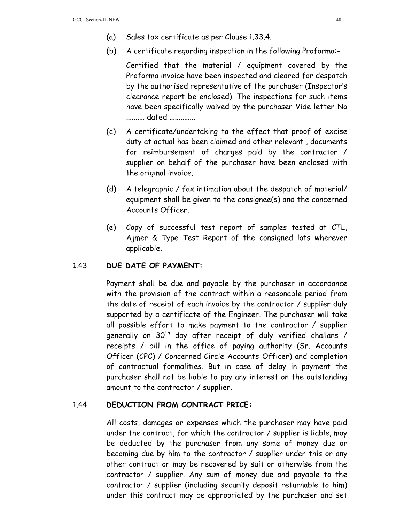- (a) Sales tax certificate as per Clause 1.33.4.
- (b) A certificate regarding inspection in the following Proforma:-

 Certified that the material / equipment covered by the Proforma invoice have been inspected and cleared for despatch by the authorised representative of the purchaser (Inspector's clearance report be enclosed). The inspections for such items have been specifically waived by the purchaser Vide letter No .......... dated ..............

- (c) A certificate/undertaking to the effect that proof of excise duty at actual has been claimed and other relevant , documents for reimbursement of charges paid by the contractor / supplier on behalf of the purchaser have been enclosed with the original invoice.
- (d) A telegraphic / fax intimation about the despatch of material/ equipment shall be given to the consignee(s) and the concerned Accounts Officer.
- (e) Copy of successful test report of samples tested at CTL, Ajmer & Type Test Report of the consigned lots wherever applicable.

## 1.43 **DUE DATE OF PAYMENT:**

Payment shall be due and payable by the purchaser in accordance with the provision of the contract within a reasonable period from the date of receipt of each invoice by the contractor / supplier duly supported by a certificate of the Engineer. The purchaser will take all possible effort to make payment to the contractor / supplier generally on  $30<sup>th</sup>$  day after receipt of duly verified challans / receipts / bill in the office of paying authority (Sr. Accounts Officer (CPC) / Concerned Circle Accounts Officer) and completion of contractual formalities. But in case of delay in payment the purchaser shall not be liable to pay any interest on the outstanding amount to the contractor / supplier.

#### 1.44 **DEDUCTION FROM CONTRACT PRICE:**

All costs, damages or expenses which the purchaser may have paid under the contract, for which the contractor / supplier is liable, may be deducted by the purchaser from any some of money due or becoming due by him to the contractor / supplier under this or any other contract or may be recovered by suit or otherwise from the contractor / supplier. Any sum of money due and payable to the contractor / supplier (including security deposit returnable to him) under this contract may be appropriated by the purchaser and set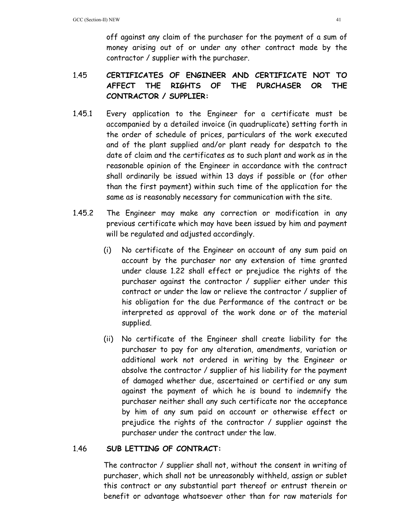off against any claim of the purchaser for the payment of a sum of money arising out of or under any other contract made by the contractor / supplier with the purchaser.

# 1.45 **CERTIFICATES OF ENGINEER AND CERTIFICATE NOT TO AFFECT THE RIGHTS OF THE PURCHASER OR THE CONTRACTOR / SUPPLIER:**

- 1.45.1 Every application to the Engineer for a certificate must be accompanied by a detailed invoice (in quadruplicate) setting forth in the order of schedule of prices, particulars of the work executed and of the plant supplied and/or plant ready for despatch to the date of claim and the certificates as to such plant and work as in the reasonable opinion of the Engineer in accordance with the contract shall ordinarily be issued within 13 days if possible or (for other than the first payment) within such time of the application for the same as is reasonably necessary for communication with the site.
- 1.45.2 The Engineer may make any correction or modification in any previous certificate which may have been issued by him and payment will be regulated and adjusted accordingly.
	- (i) No certificate of the Engineer on account of any sum paid on account by the purchaser nor any extension of time granted under clause 1.22 shall effect or prejudice the rights of the purchaser against the contractor / supplier either under this contract or under the law or relieve the contractor / supplier of his obligation for the due Performance of the contract or be interpreted as approval of the work done or of the material supplied.
	- (ii) No certificate of the Engineer shall create liability for the purchaser to pay for any alteration, amendments, variation or additional work not ordered in writing by the Engineer or absolve the contractor / supplier of his liability for the payment of damaged whether due, ascertained or certified or any sum against the payment of which he is bound to indemnify the purchaser neither shall any such certificate nor the acceptance by him of any sum paid on account or otherwise effect or prejudice the rights of the contractor / supplier against the purchaser under the contract under the law.

## 1.46 **SUB LETTING OF CONTRACT:**

 The contractor / supplier shall not, without the consent in writing of purchaser, which shall not be unreasonably withheld, assign or sublet this contract or any substantial part thereof or entrust therein or benefit or advantage whatsoever other than for raw materials for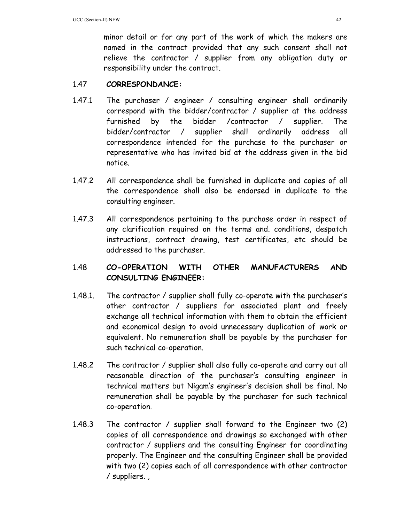minor detail or for any part of the work of which the makers are named in the contract provided that any such consent shall not relieve the contractor / supplier from any obligation duty or responsibility under the contract.

## 1.47 **CORRESPONDANCE:**

- 1.47.1 The purchaser / engineer / consulting engineer shall ordinarily correspond with the bidder/contractor / supplier at the address furnished by the bidder /contractor / supplier. The bidder/contractor / supplier shall ordinarily address all correspondence intended for the purchase to the purchaser or representative who has invited bid at the address given in the bid notice.
- 1.47.2 All correspondence shall be furnished in duplicate and copies of all the correspondence shall also be endorsed in duplicate to the consulting engineer.
- 1.47.3 All correspondence pertaining to the purchase order in respect of any clarification required on the terms and. conditions, despatch instructions, contract drawing, test certificates, etc should be addressed to the purchaser.

# 1.48 **CO-OPERATION WITH OTHER MANUFACTURERS AND CONSULTING ENGINEER:**

- 1.48.1. The contractor / supplier shall fully co-operate with the purchaser's other contractor / suppliers for associated plant and freely exchange all technical information with them to obtain the efficient and economical design to avoid unnecessary duplication of work or equivalent. No remuneration shall be payable by the purchaser for such technical co-operation.
- 1.48.2 The contractor / supplier shall also fully co-operate and carry out all reasonable direction of the purchaser's consulting engineer in technical matters but Nigam's engineer's decision shall be final. No remuneration shall be payable by the purchaser for such technical co-operation.
- 1.48.3 The contractor / supplier shall forward to the Engineer two (2) copies of all correspondence and drawings so exchanged with other contractor / suppliers and the consulting Engineer for coordinating properly. The Engineer and the consulting Engineer shall be provided with two (2) copies each of all correspondence with other contractor / suppliers. ,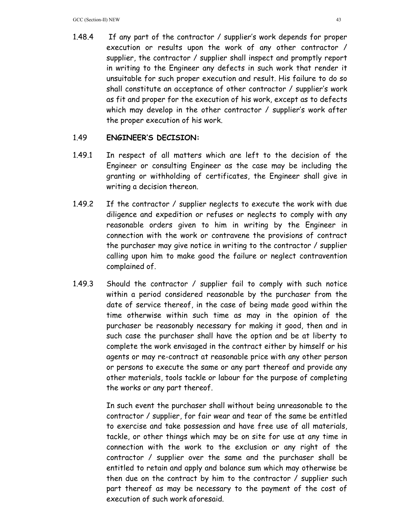1.48.4 If any part of the contractor / supplier's work depends for proper execution or results upon the work of any other contractor / supplier, the contractor / supplier shall inspect and promptly report in writing to the Engineer any defects in such work that render it unsuitable for such proper execution and result. His failure to do so shall constitute an acceptance of other contractor / supplier's work as fit and proper for the execution of his work, except as to defects which may develop in the other contractor / supplier's work after the proper execution of his work.

## 1.49 **ENGINEER'S DECISION:**

- 1.49.1 In respect of all matters which are left to the decision of the Engineer or consulting Engineer as the case may be including the granting or withholding of certificates, the Engineer shall give in writing a decision thereon.
- 1.49.2 If the contractor / supplier neglects to execute the work with due diligence and expedition or refuses or neglects to comply with any reasonable orders given to him in writing by the Engineer in connection with the work or contravene the provisions of contract the purchaser may give notice in writing to the contractor / supplier calling upon him to make good the failure or neglect contravention complained of.
- 1.49.3 Should the contractor / supplier fail to comply with such notice within a period considered reasonable by the purchaser from the date of service thereof, in the case of being made good within the time otherwise within such time as may in the opinion of the purchaser be reasonably necessary for making it good, then and in such case the purchaser shall have the option and be at liberty to complete the work envisaged in the contract either by himself or his agents or may re-contract at reasonable price with any other person or persons to execute the same or any part thereof and provide any other materials, tools tackle or labour for the purpose of completing the works or any part thereof.

 In such event the purchaser shall without being unreasonable to the contractor / supplier, for fair wear and tear of the same be entitled to exercise and take possession and have free use of all materials, tackle, or other things which may be on site for use at any time in connection with the work to the exclusion or any right of the contractor / supplier over the same and the purchaser shall be entitled to retain and apply and balance sum which may otherwise be then due on the contract by him to the contractor / supplier such part thereof as may be necessary to the payment of the cost of execution of such work aforesaid.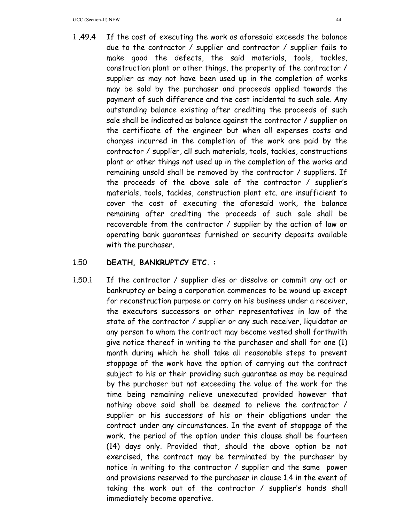1 .49.4 If the cost of executing the work as aforesaid exceeds the balance due to the contractor / supplier and contractor / supplier fails to make good the defects, the said materials, tools, tackles, construction plant or other things, the property of the contractor / supplier as may not have been used up in the completion of works may be sold by the purchaser and proceeds applied towards the payment of such difference and the cost incidental to such sale. Any outstanding balance existing after crediting the proceeds of such sale shall be indicated as balance against the contractor / supplier on the certificate of the engineer but when all expenses costs and charges incurred in the completion of the work are paid by the contractor / supplier, all such materials, tools, tackles, constructions plant or other things not used up in the completion of the works and remaining unsold shall be removed by the contractor / suppliers. If the proceeds of the above sale of the contractor / supplier's materials, tools, tackles, construction plant etc. are insufficient to cover the cost of executing the aforesaid work, the balance remaining after crediting the proceeds of such sale shall be recoverable from the contractor / supplier by the action of law or operating bank guarantees furnished or security deposits available with the purchaser.

## 1.50 **DEATH, BANKRUPTCY ETC. :**

1.50.1 If the contractor / supplier dies or dissolve or commit any act or bankruptcy or being a corporation commences to be wound up except for reconstruction purpose or carry on his business under a receiver, the executors successors or other representatives in law of the state of the contractor / supplier or any such receiver, liquidator or any person to whom the contract may become vested shall forthwith give notice thereof in writing to the purchaser and shall for one (1) month during which he shall take all reasonable steps to prevent stoppage of the work have the option of carrying out the contract subject to his or their providing such guarantee as may be required by the purchaser but not exceeding the value of the work for the time being remaining relieve unexecuted provided however that nothing above said shall be deemed to relieve the contractor / supplier or his successors of his or their obligations under the contract under any circumstances. In the event of stoppage of the work, the period of the option under this clause shall be fourteen (14) days only. Provided that, should the above option be not exercised, the contract may be terminated by the purchaser by notice in writing to the contractor / supplier and the same power and provisions reserved to the purchaser in clause 1.4 in the event of taking the work out of the contractor / supplier's hands shall immediately become operative.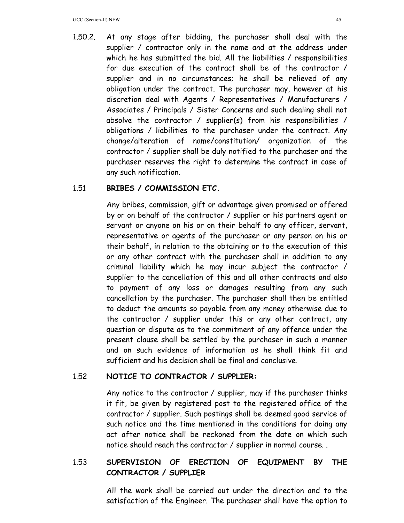1.50.2. At any stage after bidding, the purchaser shall deal with the supplier / contractor only in the name and at the address under which he has submitted the bid. All the liabilities / responsibilities for due execution of the contract shall be of the contractor / supplier and in no circumstances; he shall be relieved of any obligation under the contract. The purchaser may, however at his discretion deal with Agents / Representatives / Manufacturers / Associates / Principals / Sister Concerns and such dealing shall not absolve the contractor / supplier(s) from his responsibilities / obligations / liabilities to the purchaser under the contract. Any change/alteration of name/constitution/ organization of the contractor / supplier shall be duly notified to the purchaser and the purchaser reserves the right to determine the contract in case of any such notification.

## 1.51 **BRIBES / COMMISSION ETC.**

 Any bribes, commission, gift or advantage given promised or offered by or on behalf of the contractor / supplier or his partners agent or servant or anyone on his or on their behalf to any officer, servant, representative or agents of the purchaser or any person on his or their behalf, in relation to the obtaining or to the execution of this or any other contract with the purchaser shall in addition to any criminal liability which he may incur subject the contractor / supplier to the cancellation of this and all other contracts and also to payment of any loss or damages resulting from any such cancellation by the purchaser. The purchaser shall then be entitled to deduct the amounts so payable from any money otherwise due to the contractor / supplier under this or any other contract, any question or dispute as to the commitment of any offence under the present clause shall be settled by the purchaser in such a manner and on such evidence of information as he shall think fit and sufficient and his decision shall be final and conclusive.

## 1.52 **NOTICE TO CONTRACTOR / SUPPLIER:**

 Any notice to the contractor / supplier, may if the purchaser thinks it fit, be given by registered post to the registered office of the contractor / supplier. Such postings shall be deemed good service of such notice and the time mentioned in the conditions for doing any act after notice shall be reckoned from the date on which such notice should reach the contractor / supplier in normal course. .

# 1.53 **SUPERVISION OF ERECTION OF EQUIPMENT BY THE CONTRACTOR / SUPPLIER**

 All the work shall be carried out under the direction and to the satisfaction of the Engineer. The purchaser shall have the option to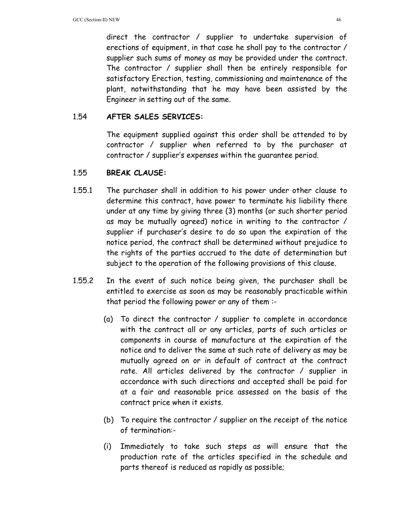direct the contractor / supplier to undertake supervision of erections of equipment, in that case he shall pay to the contractor / supplier such sums of money as may be provided under the contract. The contractor / supplier shall then be entirely responsible for satisfactory Erection, testing, commissioning and maintenance of the plant, notwithstanding that he may have been assisted by the Engineer in setting out of the same.

## 1.54 **AFTER SALES SERVICES:**

 The equipment supplied against this order shall be attended to by contractor / supplier when referred to by the purchaser at contractor / supplier's expenses within the guarantee period.

## 1.55 **BREAK CLAUSE:**

- 1.55.1 The purchaser shall in addition to his power under other clause to determine this contract, have power to terminate his liability there under at any time by giving three (3) months (or such shorter period as may be mutually agreed) notice in writing to the contractor / supplier if purchaser's desire to do so upon the expiration of the notice period, the contract shall be determined without prejudice to the rights of the parties accrued to the date of determination but subject to the operation of the following provisions of this clause.
- 1.55.2 In the event of such notice being given, the purchaser shall be entitled to exercise as soon as may be reasonably practicable within that period the following power or any of them :-
	- (a) To direct the contractor / supplier to complete in accordance with the contract all or any articles, parts of such articles or components in course of manufacture at the expiration of the notice and to deliver the same at such rate of delivery as may be mutually agreed on or in default of contract at the contract rate. All articles delivered by the contractor / supplier in accordance with such directions and accepted shall be paid for at a fair and reasonable price assessed on the basis of the contract price when it exists.
	- (b) To require the contractor / supplier on the receipt of the notice of termination:-
	- (i) Immediately to take such steps as will ensure that the production rate of the articles specified in the schedule and parts thereof is reduced as rapidly as possible;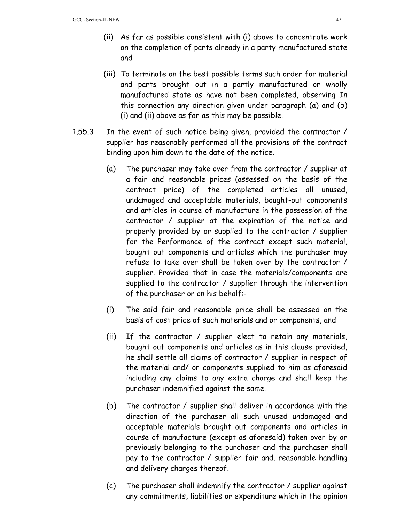- (ii) As far as possible consistent with (i) above to concentrate work on the completion of parts already in a party manufactured state and
- (iii) To terminate on the best possible terms such order for material and parts brought out in a partly manufactured or wholly manufactured state as have not been completed, observing In this connection any direction given under paragraph (a) and (b) (i) and (ii) above as far as this may be possible.
- 1.55.3 In the event of such notice being given, provided the contractor / supplier has reasonably performed all the provisions of the contract binding upon him down to the date of the notice.
	- (a) The purchaser may take over from the contractor / supplier at a fair and reasonable prices (assessed on the basis of the contract price) of the completed articles all unused, undamaged and acceptable materials, bought-out components and articles in course of manufacture in the possession of the contractor / supplier at the expiration of the notice and properly provided by or supplied to the contractor / supplier for the Performance of the contract except such material, bought out components and articles which the purchaser may refuse to take over shall be taken over by the contractor / supplier. Provided that in case the materials/components are supplied to the contractor / supplier through the intervention of the purchaser or on his behalf:-
	- (i) The said fair and reasonable price shall be assessed on the basis of cost price of such materials and or components, and
	- (ii) If the contractor / supplier elect to retain any materials, bought out components and articles as in this clause provided, he shall settle all claims of contractor / supplier in respect of the material and/ or components supplied to him as aforesaid including any claims to any extra charge and shall keep the purchaser indemnified against the same.
	- (b) The contractor / supplier shall deliver in accordance with the direction of the purchaser all such unused undamaged and acceptable materials brought out components and articles in course of manufacture (except as aforesaid) taken over by or previously belonging to the purchaser and the purchaser shall pay to the contractor / supplier fair and. reasonable handling and delivery charges thereof.
	- (c) The purchaser shall indemnify the contractor / supplier against any commitments, liabilities or expenditure which in the opinion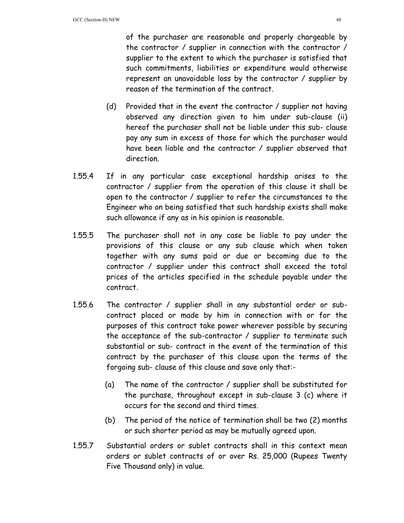of the purchaser are reasonable and properly chargeable by the contractor / supplier in connection with the contractor / supplier to the extent to which the purchaser is satisfied that such commitments, liabilities or expenditure would otherwise represent an unavoidable loss by the contractor / supplier by reason of the termination of the contract.

- (d) Provided that in the event the contractor / supplier not having observed any direction given to him under sub-clause (ii) hereof the purchaser shall not be liable under this sub- clause pay any sum in excess of those for which the purchaser would have been liable and the contractor / supplier observed that direction.
- 1.55.4 If in any particular case exceptional hardship arises to the contractor / supplier from the operation of this clause it shall be open to the contractor / supplier to refer the circumstances to the Engineer who on being satisfied that such hardship exists shall make such allowance if any as in his opinion is reasonable.
- 1.55.5 The purchaser shall not in any case be liable to pay under the provisions of this clause or any sub clause which when taken together with any sums paid or due or becoming due to the contractor / supplier under this contract shall exceed the total prices of the articles specified in the schedule payable under the contract.
- 1.55.6 The contractor / supplier shall in any substantial order or subcontract placed or made by him in connection with or for the purposes of this contract take power wherever possible by securing the acceptance of the sub-contractor / supplier to terminate such substantial or sub- contract in the event of the termination of this contract by the purchaser of this clause upon the terms of the forgoing sub- clause of this clause and save only that:-
	- (a) The name of the contractor / supplier shall be substituted for the purchase, throughout except in sub-clause 3 (c) where it occurs for the second and third times.
	- (b) The period of the notice of termination shall be two (2) months or such shorter period as may be mutually agreed upon.
- 1.55.7 Substantial orders or sublet contracts shall in this context mean orders or sublet contracts of or over Rs. 25,000 (Rupees Twenty Five Thousand only) in value.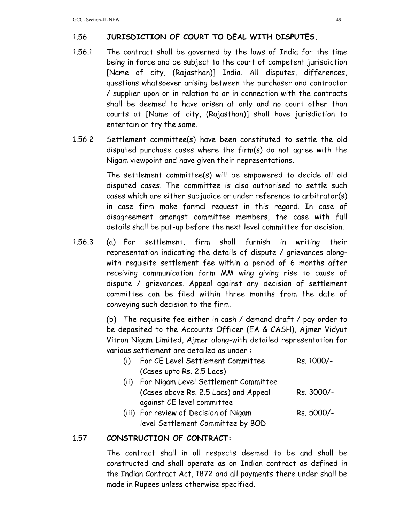# 1.56 **JURISDICTION OF COURT TO DEAL WITH DISPUTES.**

- 1.56.1 The contract shall be governed by the laws of India for the time being in force and be subject to the court of competent jurisdiction [Name of city, (Rajasthan)] India. All disputes, differences, questions whatsoever arising between the purchaser and contractor / supplier upon or in relation to or in connection with the contracts shall be deemed to have arisen at only and no court other than courts at [Name of city, (Rajasthan)] shall have jurisdiction to entertain or try the same.
- 1.56.2 Settlement committee(s) have been constituted to settle the old disputed purchase cases where the firm(s) do not agree with the Nigam viewpoint and have given their representations.

 The settlement committee(s) will be empowered to decide all old disputed cases. The committee is also authorised to settle such cases which are either subjudice or under reference to arbitrator(s) in case firm make formal request in this regard. In case of disagreement amongst committee members, the case with full details shall be put-up before the next level committee for decision.

1.56.3 (a) For settlement, firm shall furnish in writing their representation indicating the details of dispute / grievances alongwith requisite settlement fee within a period of 6 months after receiving communication form MM wing giving rise to cause of dispute / grievances. Appeal against any decision of settlement committee can be filed within three months from the date of conveying such decision to the firm.

> (b) The requisite fee either in cash / demand draft / pay order to be deposited to the Accounts Officer (EA & CASH), Ajmer Vidyut Vitran Nigam Limited, Ajmer along-with detailed representation for various settlement are detailed as under :

| (i) | For CE Level Settlement Committee         | Rs. 1000/- |
|-----|-------------------------------------------|------------|
|     | (Cases upto Rs. 2.5 Lacs)                 |            |
|     | (ii) For Nigam Level Settlement Committee |            |
|     | (Cases above Rs. 2.5 Lacs) and Appeal     | Rs. 3000/- |
|     | against CE level committee                |            |
|     | (iii) For review of Decision of Nigam     | Rs. 5000/- |

# level Settlement Committee by BOD

## 1.57 **CONSTRUCTION OF CONTRACT:**

 The contract shall in all respects deemed to be and shall be constructed and shall operate as on Indian contract as defined in the Indian Contract Act, 1872 and all payments there under shall be made in Rupees unless otherwise specified.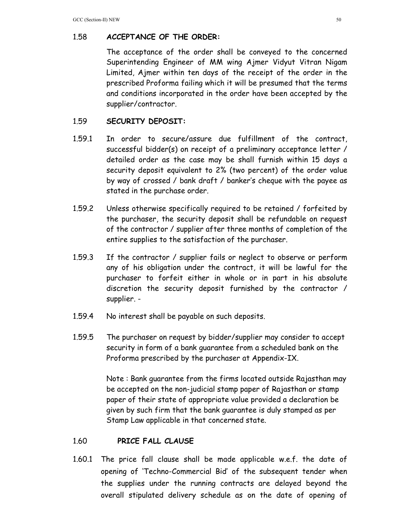# 1.58 **ACCEPTANCE OF THE ORDER:**

 The acceptance of the order shall be conveyed to the concerned Superintending Engineer of MM wing Ajmer Vidyut Vitran Nigam Limited, Ajmer within ten days of the receipt of the order in the prescribed Proforma failing which it will be presumed that the terms and conditions incorporated in the order have been accepted by the supplier/contractor.

## 1.59 **SECURITY DEPOSIT:**

- 1.59.1 In order to secure/assure due fulfillment of the contract, successful bidder(s) on receipt of a preliminary acceptance letter / detailed order as the case may be shall furnish within 15 days a security deposit equivalent to 2% (two percent) of the order value by way of crossed / bank draft / banker's cheque with the payee as stated in the purchase order.
- 1.59.2 Unless otherwise specifically required to be retained / forfeited by the purchaser, the security deposit shall be refundable on request of the contractor / supplier after three months of completion of the entire supplies to the satisfaction of the purchaser.
- 1.59.3 If the contractor / supplier fails or neglect to observe or perform any of his obligation under the contract, it will be lawful for the purchaser to forfeit either in whole or in part in his absolute discretion the security deposit furnished by the contractor / supplier. -
- 1.59.4 No interest shall be payable on such deposits.
- 1.59.5 The purchaser on request by bidder/supplier may consider to accept security in form of a bank guarantee from a scheduled bank on the Proforma prescribed by the purchaser at Appendix-IX.

 Note : Bank guarantee from the firms located outside Rajasthan may be accepted on the non-judicial stamp paper of Rajasthan or stamp paper of their state of appropriate value provided a declaration be given by such firm that the bank guarantee is duly stamped as per Stamp Law applicable in that concerned state.

## 1.60 **PRICE FALL CLAUSE**

1.60.1 The price fall clause shall be made applicable w.e.f. the date of opening of 'Techno-Commercial Bid' of the subsequent tender when the supplies under the running contracts are delayed beyond the overall stipulated delivery schedule as on the date of opening of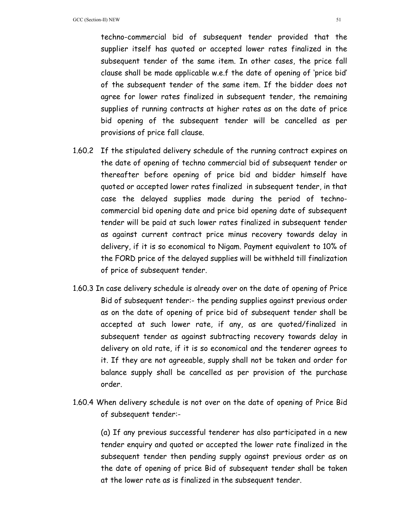techno-commercial bid of subsequent tender provided that the supplier itself has quoted or accepted lower rates finalized in the subsequent tender of the same item. In other cases, the price fall clause shall be made applicable w.e.f the date of opening of 'price bid' of the subsequent tender of the same item. If the bidder does not agree for lower rates finalized in subsequent tender, the remaining supplies of running contracts at higher rates as on the date of price bid opening of the subsequent tender will be cancelled as per provisions of price fall clause.

- 1.60.2 If the stipulated delivery schedule of the running contract expires on the date of opening of techno commercial bid of subsequent tender or thereafter before opening of price bid and bidder himself have quoted or accepted lower rates finalized in subsequent tender, in that case the delayed supplies made during the period of technocommercial bid opening date and price bid opening date of subsequent tender will be paid at such lower rates finalized in subsequent tender as against current contract price minus recovery towards delay in delivery, if it is so economical to Nigam. Payment equivalent to 10% of the FORD price of the delayed supplies will be withheld till finalization of price of subsequent tender.
- 1.60.3 In case delivery schedule is already over on the date of opening of Price Bid of subsequent tender:- the pending supplies against previous order as on the date of opening of price bid of subsequent tender shall be accepted at such lower rate, if any, as are quoted/finalized in subsequent tender as against subtracting recovery towards delay in delivery on old rate, if it is so economical and the tenderer agrees to it. If they are not agreeable, supply shall not be taken and order for balance supply shall be cancelled as per provision of the purchase order.
- 1.60.4 When delivery schedule is not over on the date of opening of Price Bid of subsequent tender:-

(a) If any previous successful tenderer has also participated in a new tender enquiry and quoted or accepted the lower rate finalized in the subsequent tender then pending supply against previous order as on the date of opening of price Bid of subsequent tender shall be taken at the lower rate as is finalized in the subsequent tender.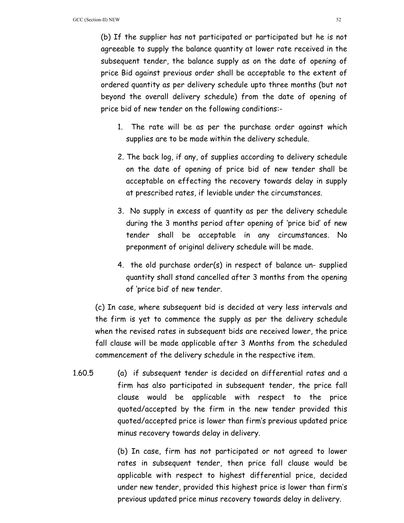(b) If the supplier has not participated or participated but he is not agreeable to supply the balance quantity at lower rate received in the subsequent tender, the balance supply as on the date of opening of price Bid against previous order shall be acceptable to the extent of ordered quantity as per delivery schedule upto three months (but not beyond the overall delivery schedule) from the date of opening of price bid of new tender on the following conditions:-

- 1. The rate will be as per the purchase order against which supplies are to be made within the delivery schedule.
- 2. The back log, if any, of supplies according to delivery schedule on the date of opening of price bid of new tender shall be acceptable on effecting the recovery towards delay in supply at prescribed rates, if leviable under the circumstances.
- 3. No supply in excess of quantity as per the delivery schedule during the 3 months period after opening of 'price bid' of new tender shall be acceptable in any circumstances. No preponment of original delivery schedule will be made.
- 4. the old purchase order(s) in respect of balance un- supplied quantity shall stand cancelled after 3 months from the opening of 'price bid' of new tender.

(c) In case, where subsequent bid is decided at very less intervals and the firm is yet to commence the supply as per the delivery schedule when the revised rates in subsequent bids are received lower, the price fall clause will be made applicable after 3 Months from the scheduled commencement of the delivery schedule in the respective item.

1.60.5 (a) if subsequent tender is decided on differential rates and a firm has also participated in subsequent tender, the price fall clause would be applicable with respect to the price quoted/accepted by the firm in the new tender provided this quoted/accepted price is lower than firm's previous updated price minus recovery towards delay in delivery.

> (b) In case, firm has not participated or not agreed to lower rates in subsequent tender, then price fall clause would be applicable with respect to highest differential price, decided under new tender, provided this highest price is lower than firm's previous updated price minus recovery towards delay in delivery.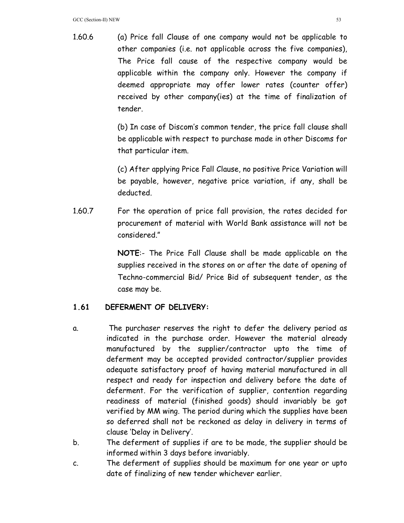1.60.6 (a) Price fall Clause of one company would not be applicable to other companies (i.e. not applicable across the five companies), The Price fall cause of the respective company would be applicable within the company only. However the company if deemed appropriate may offer lower rates (counter offer) received by other company(ies) at the time of finalization of tender.

> (b) In case of Discom's common tender, the price fall clause shall be applicable with respect to purchase made in other Discoms for that particular item.

> (c) After applying Price Fall Clause, no positive Price Variation will be payable, however, negative price variation, if any, shall be deducted.

1.60.7 For the operation of price fall provision, the rates decided for procurement of material with World Bank assistance will not be considered."

> **NOTE**:- The Price Fall Clause shall be made applicable on the supplies received in the stores on or after the date of opening of Techno-commercial Bid/ Price Bid of subsequent tender, as the case may be.

# **1.61 DEFERMENT OF DELIVERY:**

- a. The purchaser reserves the right to defer the delivery period as indicated in the purchase order. However the material already manufactured by the supplier/contractor upto the time of deferment may be accepted provided contractor/supplier provides adequate satisfactory proof of having material manufactured in all respect and ready for inspection and delivery before the date of deferment. For the verification of supplier, contention regarding readiness of material (finished goods) should invariably be got verified by MM wing. The period during which the supplies have been so deferred shall not be reckoned as delay in delivery in terms of clause 'Delay in Delivery'.
- b. The deferment of supplies if are to be made, the supplier should be informed within 3 days before invariably.
- c. The deferment of supplies should be maximum for one year or upto date of finalizing of new tender whichever earlier.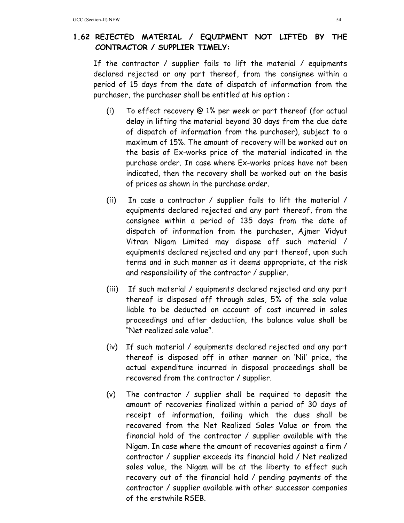## **1.62 REJECTED MATERIAL / EQUIPMENT NOT LIFTED BY THE CONTRACTOR / SUPPLIER TIMELY:**

If the contractor / supplier fails to lift the material / equipments declared rejected or any part thereof, from the consignee within a period of 15 days from the date of dispatch of information from the purchaser, the purchaser shall be entitled at his option :

- (i) To effect recovery @ 1% per week or part thereof (for actual delay in lifting the material beyond 30 days from the due date of dispatch of information from the purchaser), subject to a maximum of 15%. The amount of recovery will be worked out on the basis of Ex-works price of the material indicated in the purchase order. In case where Ex-works prices have not been indicated, then the recovery shall be worked out on the basis of prices as shown in the purchase order.
- (ii) In case a contractor / supplier fails to lift the material / equipments declared rejected and any part thereof, from the consignee within a period of 135 days from the date of dispatch of information from the purchaser, Ajmer Vidyut Vitran Nigam Limited may dispose off such material / equipments declared rejected and any part thereof, upon such terms and in such manner as it deems appropriate, at the risk and responsibility of the contractor / supplier.
- (iii) If such material / equipments declared rejected and any part thereof is disposed off through sales, 5% of the sale value liable to be deducted on account of cost incurred in sales proceedings and after deduction, the balance value shall be "Net realized sale value".
- (iv) If such material / equipments declared rejected and any part thereof is disposed off in other manner on 'Nil' price, the actual expenditure incurred in disposal proceedings shall be recovered from the contractor / supplier.
- (v) The contractor / supplier shall be required to deposit the amount of recoveries finalized within a period of 30 days of receipt of information, failing which the dues shall be recovered from the Net Realized Sales Value or from the financial hold of the contractor / supplier available with the Nigam. In case where the amount of recoveries against a firm / contractor / supplier exceeds its financial hold / Net realized sales value, the Nigam will be at the liberty to effect such recovery out of the financial hold / pending payments of the contractor / supplier available with other successor companies of the erstwhile RSEB.